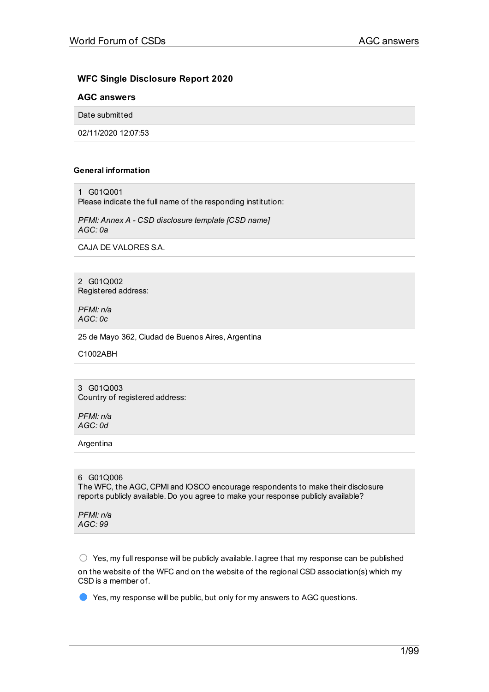# **WFC Single Disclosure Report 2020**

## **AGC answers**

Date submitted

02/11/2020 12:07:53

#### **General information**

1 G01Q001

Please indicate the full name of the responding institution:

*PFMI: Annex A - CSD disclosure template [CSD name] AGC: 0a*

CAJA DE VALORES S.A.

2 G01Q002 Registered address:

*PFMI: n/a AGC: 0c*

25 de Mayo 362, Ciudad de Buenos Aires, Argentina

C1002ABH

3 G01Q003 Country of registered address:

*PFMI: n/a AGC: 0d*

Argentina

## 6 G01Q006

The WFC, the AGC, CPMI and IOSCO encourage respondents to make their disclosure reports publicly available. Do you agree to make your response publicly available?

*PFMI: n/a AGC: 99*

 $\bigcirc$  Yes, my full response will be publicly available. I agree that my response can be published

on the website of the WFC and on the website of the regional CSD association(s) which my CSD is a member of.

● Yes, my response will be public, but only for my answers to AGC questions.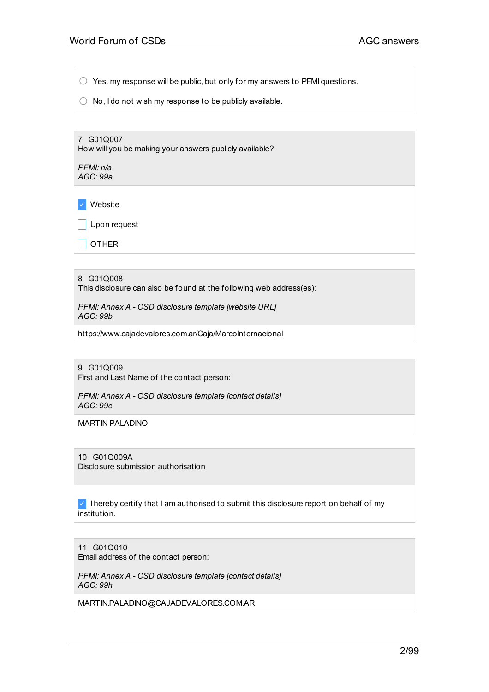$\bigcirc$  Yes, my response will be public, but only for my answers to PFMI questions.

 $\bigcirc$  No, I do not wish my response to be publicly available.

7 G01Q007 How will you be making your answers publicly available?

*PFMI: n/a AGC: 99a*

✓ Website

Upon request

 $\vert$  OTHER:

#### 8 G01Q008

This disclosure can also be found at the following web address(es):

*PFMI: Annex A - CSD disclosure template [website URL] AGC: 99b*

https://www.cajadevalores.com.ar/Caja/MarcoInternacional

9 G01Q009 First and Last Name of the contact person:

*PFMI: Annex A - CSD disclosure template [contact details] AGC: 99c*

MARTIN PALADINO

10 G01Q009A Disclosure submission authorisation

 $\vee$  I hereby certify that I am authorised to submit this disclosure report on behalf of my institution.

11 G01Q010 Email address of the contact person:

*PFMI: Annex A - CSD disclosure template [contact details] AGC: 99h*

MARTIN.PALADINO@CAJADEVALORES.COM.AR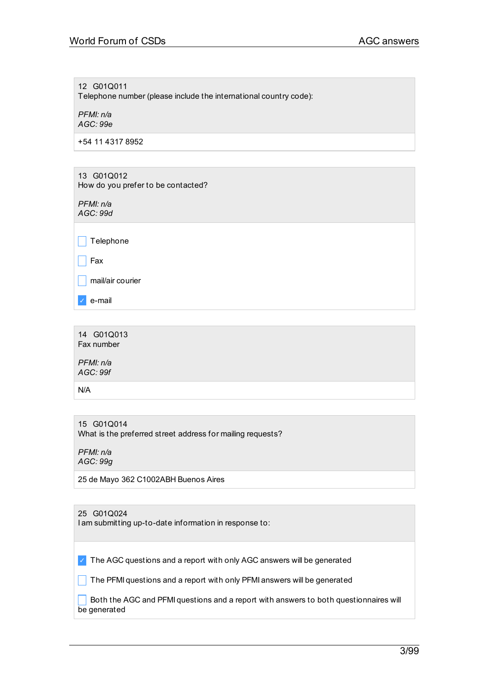12 G01Q011 Telephone number (please include the international country code):

*PFMI: n/a AGC: 99e*

+54 11 4317 8952

13 G01Q012 How do you prefer to be contacted?

*PFMI: n/a AGC: 99d*

 $\Box$  Telephone

 $\Box$  Fax

 $\Box$  mail/air courier

✓ e-mail

14 G01Q013 Fax number

*PFMI: n/a AGC: 99f*

N/A

15 G01Q014 What is the preferred street address for mailing requests?

*PFMI: n/a AGC: 99g*

25 de Mayo 362 C1002ABH Buenos Aires

| 25 G01Q024<br>I am submitting up-to-date information in response to:                    |
|-----------------------------------------------------------------------------------------|
|                                                                                         |
|                                                                                         |
| The AGC questions and a report with only AGC answers will be generated<br>$\mathcal{J}$ |
|                                                                                         |
| The PFMI questions and a report with only PFMI answers will be generated                |
|                                                                                         |
| Both the AGC and PFMI questions and a report with answers to both questionnaires will   |
|                                                                                         |
| be generated                                                                            |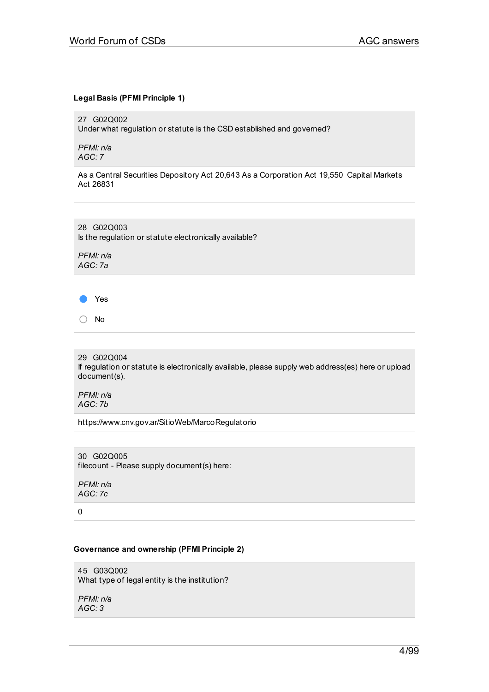## **Legal Basis (PFMI Principle 1)**

27 G02Q002

Under what regulation or statute is the CSD established and governed?

*PFMI: n/a AGC: 7*

As a Central Securities Depository Act 20,643 As a Corporation Act 19,550 Capital Markets Act 26831

28 G02Q003 Is the regulation or statute electronically available?

*PFMI: n/a AGC: 7a*

Yes

○ No

29 G02Q004

If regulation or statute is electronically available, please supply web address(es) here or upload document(s).

*PFMI: n/a AGC: 7b*

https://www.cnv.gov.ar/SitioWeb/MarcoRegulatorio

30 G02Q005 filecount - Please supply document(s) here:

*PFMI: n/a AGC: 7c*

0

## **Governance and ownership (PFMI Principle 2)**

45 G03Q002 What type of legal entity is the institution?

*PFMI: n/a AGC: 3*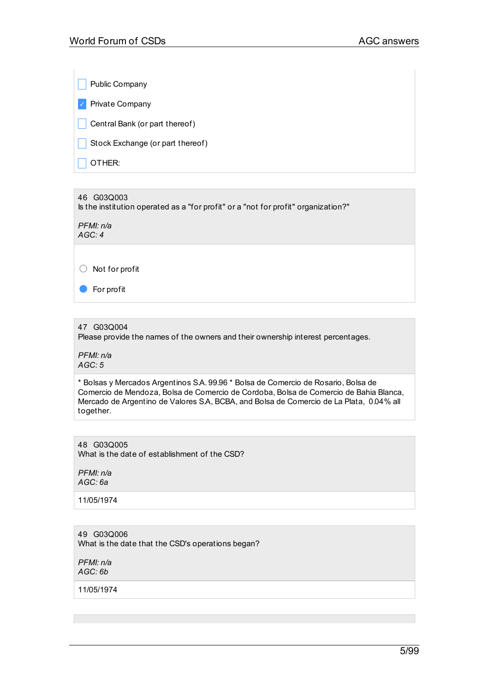Public Company ✓ Private Company  $\Box$  Central Bank (or part thereof)  $\Box$  Stock Exchange (or part thereof)  $\overline{\phantom{a}}$  OTHER:

46 G03Q003 Is the institution operated as a "for profit" or a "not for profit" organization?"

*PFMI: n/a AGC: 4*

○ Not for profit

● For profit

47 G03Q004

Please provide the names of the owners and their ownership interest percentages.

*PFMI: n/a AGC: 5*

\* Bolsas y Mercados Argentinos S.A. 99.96 \* Bolsa de Comercio de Rosario, Bolsa de Comercio de Mendoza, Bolsa de Comercio de Cordoba, Bolsa de Comercio de Bahia Blanca, Mercado de Argentino de Valores S.A, BCBA, and Bolsa de Comercio de La Plata, 0.04% all together.

48 G03Q005

What is the date of establishment of the CSD?

*PFMI: n/a AGC: 6a*

11/05/1974

49 G03Q006 What is the date that the CSD's operations began?

*PFMI: n/a AGC: 6b*

11/05/1974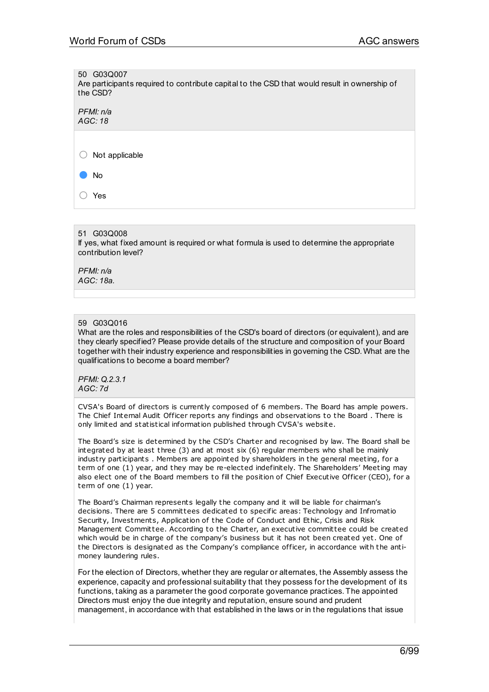50 G03Q007

Are participants required to contribute capital to the CSD that would result in ownership of the CSD?

*PFMI: n/a AGC: 18*

○ Not applicable

● No

○ Yes

## 51 G03Q008

If yes, what fixed amount is required or what formula is used to determine the appropriate contribution level?

*PFMI: n/a AGC: 18a.*

## 59 G03Q016

What are the roles and responsibilities of the CSD's board of directors (or equivalent), and are they clearly specified? Please provide details of the structure and composition of your Board together with their industry experience and responsibilities in governing the CSD. What are the qualifications to become a board member?

*PFMI: Q.2.3.1 AGC: 7d*

CVSA's Board of directors is currently composed of 6 members. The Board has ample powers. The Chief Internal Audit Officer reports any findings and observations to the Board . There is only limited and statistical information published through CVSA's website.

The Board's size is determined by the CSD's Charter and recognised by law. The Board shall be integrated by at least three (3) and at most six (6) regular members who shall be mainly indust ry participants . Members are appointed by shareholders in the general meeting, for a term of one (1) year, and they may be re-elected indefinitely. The Shareholders' Meeting may also elect one of the Board members to fill the position of Chief Executive Officer (CEO), for a term of one (1) year.

The Board's Chairman represents legally the company and it will be liable for chairman's decisions. There are 5 committees dedicated to specific areas: Technology and Infromatio Security, Investments, Application of the Code of Conduct and Ethic, Crisis and Risk Management Committee. According to the Charter, an executive committee could be created which would be in charge of the company's business but it has not been created yet. One of the Directors is designated as the Company's compliance officer, in accordance with the antimoney laundering rules.

For the election of Directors, whether they are regular or alternates, the Assembly assess the experience, capacity and professional suitability that they possess for the development of its functions, taking as a parameter the good corporate governance practices. The appointed Directors must enjoy the due integrity and reputation, ensure sound and prudent management, in accordance with that established in the laws or in the regulations that issue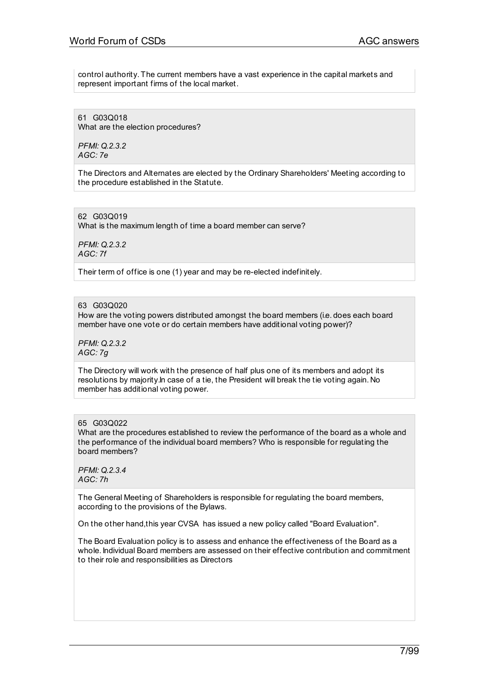control authority. The current members have a vast experience in the capital markets and represent important firms of the local market.

61 G03Q018 What are the election procedures?

*PFMI: Q.2.3.2 AGC: 7e*

The Directors and Alternates are elected by the Ordinary Shareholders' Meeting according to the procedure established in the Statute.

62 G03Q019 What is the maximum length of time a board member can serve?

*PFMI: Q.2.3.2 AGC: 7f*

Their term of office is one (1) year and may be re-elected indefinitely.

63 G03Q020

How are the voting powers distributed amongst the board members (i.e. does each board member have one vote or do certain members have additional voting power)?

*PFMI: Q.2.3.2 AGC: 7g*

The Directory will work with the presence of half plus one of its members and adopt its resolutions by majority.In case of a tie, the President will break the tie voting again. No member has additional voting power.

#### 65 G03Q022

What are the procedures established to review the performance of the board as a whole and the performance of the individual board members? Who is responsible for regulating the board members?

*PFMI: Q.2.3.4 AGC: 7h*

The General Meeting of Shareholders is responsible for regulating the board members, according to the provisions of the Bylaws.

On the other hand,this year CVSA has issued a new policy called "Board Evaluation".

The Board Evaluation policy is to assess and enhance the effectiveness of the Board as a whole. Individual Board members are assessed on their effective contribution and commitment to their role and responsibilities as Directors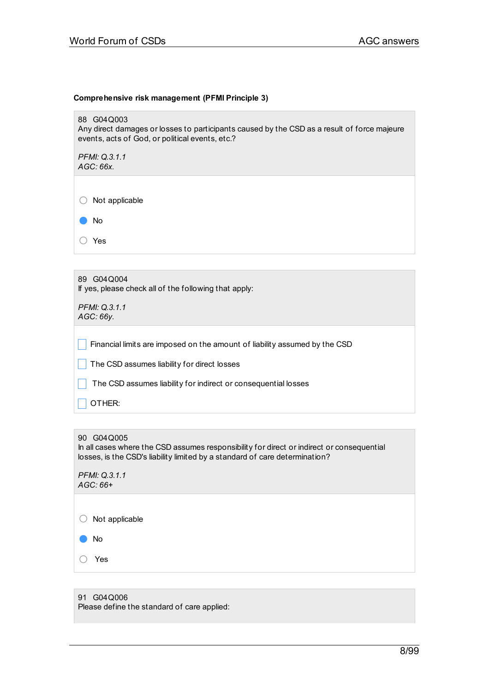#### **Comprehensive risk management (PFMI Principle 3)**

88 G04Q003

Any direct damages or losses to participants caused by the CSD as a result of force majeure events, acts of God, or political events, etc.?

*PFMI: Q.3.1.1 AGC: 66x.*

○ Not applicable

● No

○ Yes

| G04Q004<br>89<br>If yes, please check all of the following that apply:     |
|----------------------------------------------------------------------------|
| PFMI: Q.3.1.1<br>AGC:66v.                                                  |
| Financial limits are imposed on the amount of liability assumed by the CSD |
| The CSD assumes liability for direct losses                                |
| The CSD assumes liability for indirect or consequential losses             |
| OTHER <sup>.</sup>                                                         |

#### 90 G04Q005

In all cases where the CSD assumes responsibility for direct or indirect or consequential losses, is the CSD's liability limited by a standard of care determination?

*PFMI: Q.3.1.1 AGC: 66+*

○ Not applicable

● No

○ Yes

## 91 G04Q006

Please define the standard of care applied: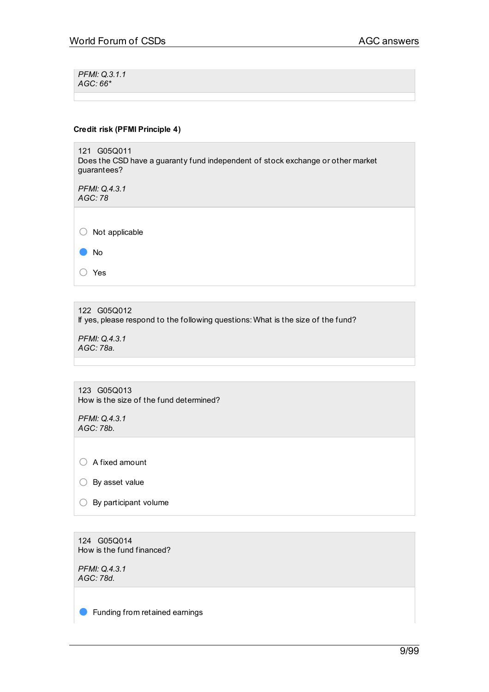*PFMI: Q.3.1.1 AGC: 66\**

#### **Credit risk (PFMI Principle 4)**

121 G05Q011 Does the CSD have a guaranty fund independent of stock exchange or other market guarantees?

*PFMI: Q.4.3.1 AGC: 78*

○ Not applicable

● No

○ Yes

122 G05Q012 If yes, please respond to the following questions: What is the size of the fund?

*PFMI: Q.4.3.1 AGC: 78a.*

123 G05Q013 How is the size of the fund determined?

*PFMI: Q.4.3.1 AGC: 78b.*

○ A fixed amount

○ By asset value

 $\bigcirc$  By participant volume

124 G05Q014 How is the fund financed?

*PFMI: Q.4.3.1 AGC: 78d.*

**•** Funding from retained earnings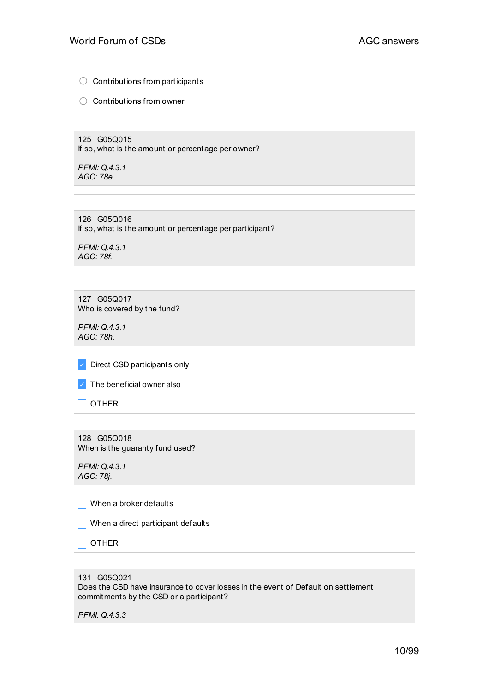$\bigcirc$  Contributions from participants

○ Contributions from owner

125 G05Q015 If so, what is the amount or percentage per owner?

*PFMI: Q.4.3.1 AGC: 78e.*

126 G05Q016 If so, what is the amount or percentage per participant?

*PFMI: Q.4.3.1 AGC: 78f.*

127 G05Q017 Who is covered by the fund?

*PFMI: Q.4.3.1 AGC: 78h.*

✓ Direct CSD participants only

| The beneficial owner also |
|---------------------------|
|                           |

 $\Box$  OTHER:

128 G05Q018 When is the guaranty fund used?

*PFMI: Q.4.3.1 AGC: 78j.*

 $\Box$  When a broker defaults

 $\Box$  When a direct participant defaults

 $\Box$  OTHER:

131 G05Q021

Does the CSD have insurance to cover losses in the event of Default on settlement commitments by the CSD or a participant?

*PFMI: Q.4.3.3*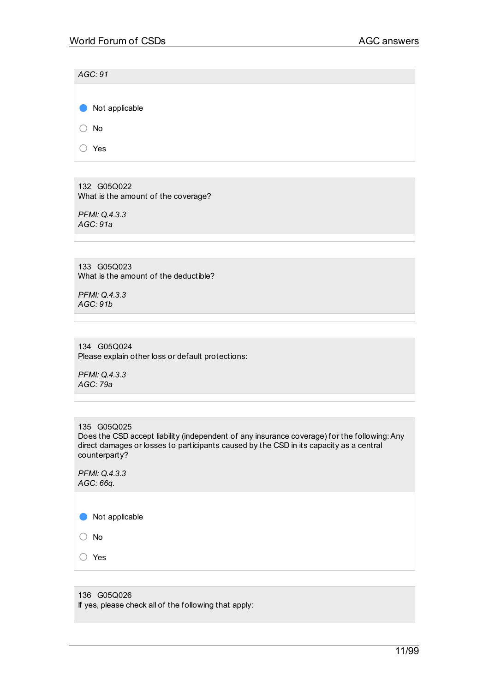| AGC: 91        |  |  |  |
|----------------|--|--|--|
|                |  |  |  |
| Not applicable |  |  |  |
| No             |  |  |  |
| Yes            |  |  |  |

132 G05Q022 What is the amount of the coverage?

*PFMI: Q.4.3.3 AGC: 91a*

133 G05Q023 What is the amount of the deductible?

*PFMI: Q.4.3.3 AGC: 91b*

134 G05Q024 Please explain other loss or default protections:

*PFMI: Q.4.3.3 AGC: 79a*

135 G05Q025 Does the CSD accept liability (independent of any insurance coverage) for the following:Any direct damages or losses to participants caused by the CSD in its capacity as a central counterparty?

*PFMI: Q.4.3.3 AGC: 66q.*

● Not applicable

○ No

○ Yes

136 G05Q026 If yes, please check all of the following that apply: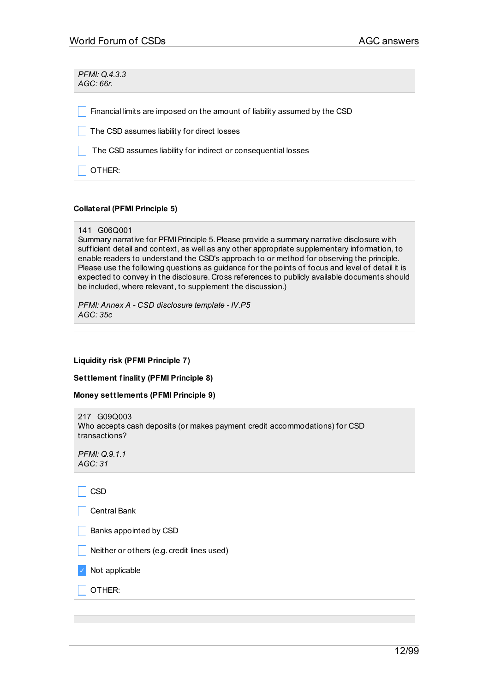*PFMI: Q.4.3.3 AGC: 66r.*  $\vert \vert$  Financial limits are imposed on the amount of liability assumed by the CSD  $\Box$  The CSD assumes liability for direct losses The CSD assumes liability for indirect or consequential losses \_ OTHER:

## **Collateral (PFMI Principle 5)**

```
141 G06Q001
```
Summary narrative for PFMI Principle 5. Please provide a summary narrative disclosure with sufficient detail and context, as well as any other appropriate supplementary information, to enable readers to understand the CSD's approach to or method for observing the principle. Please use the following questions as guidance for the points of focus and level of detail it is expected to convey in the disclosure. Cross references to publicly available documents should be included, where relevant, to supplement the discussion.)

*PFMI: Annex A - CSD disclosure template - IV.P5 AGC: 35c*

## **Liquidity risk (PFMI Principle 7)**

**Settlement finality (PFMI Principle 8)**

**Money settlements (PFMI Principle 9)**

| G09Q003<br>217<br>Who accepts cash deposits (or makes payment credit accommodations) for CSD<br>transactions? |
|---------------------------------------------------------------------------------------------------------------|
| PFMI: Q.9.1.1<br>AGC:31                                                                                       |
| CSD                                                                                                           |
| Central Bank                                                                                                  |
| Banks appointed by CSD                                                                                        |
| Neither or others (e.g. credit lines used)                                                                    |
| Not applicable                                                                                                |
| OTHER:                                                                                                        |
|                                                                                                               |
|                                                                                                               |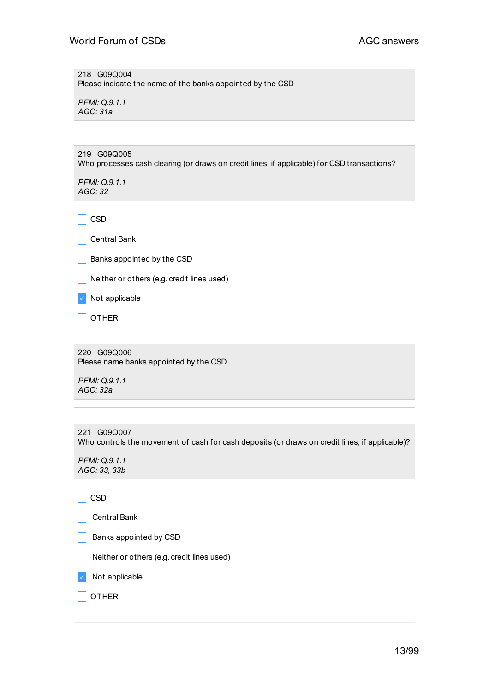218 G09Q004 Please indicate the name of the banks appointed by the CSD

*PFMI: Q.9.1.1 AGC: 31a*

219 G09Q005 Who processes cash clearing (or draws on credit lines, if applicable) for CSD transactions?

*PFMI: Q.9.1.1 AGC: 32*

 $\vert$  CSD

 $\vert \vert$  Central Bank

 $\Box$  Banks appointed by the CSD

 $\Box$  Neither or others (e.g. credit lines used)

✓ Not applicable

 $\Box$  OTHER:

220 G09Q006 Please name banks appointed by the CSD

*PFMI: Q.9.1.1 AGC: 32a*

221 G09Q007 Who controls the movement of cash for cash deposits (or draws on credit lines, if applicable)?

*PFMI: Q.9.1.1 AGC: 33, 33b*

 $\Box$  CSD

| Central Bank |
|--------------|
|--------------|

 $\Box$  Banks appointed by CSD

Neither or others (e.g. credit lines used)

✓ Not applicable

 $\vert$  OTHER: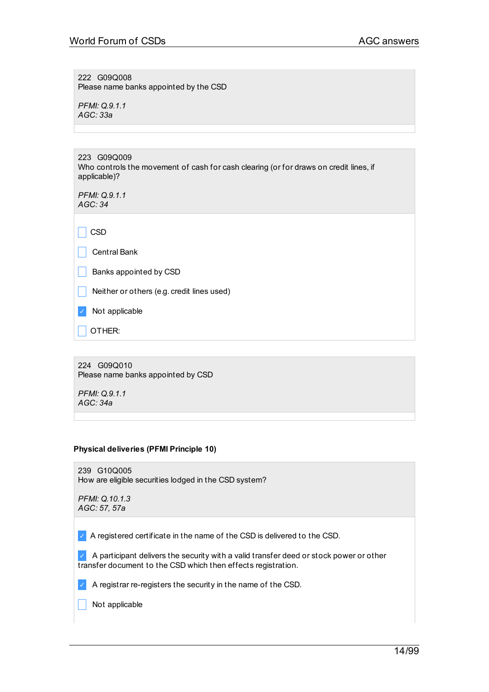222 G09Q008 Please name banks appointed by the CSD

*PFMI: Q.9.1.1 AGC: 33a*

| 223 G09Q009                                                                                           |
|-------------------------------------------------------------------------------------------------------|
| Who controls the movement of cash for cash clearing (or for draws on credit lines, if<br>applicable)? |
|                                                                                                       |

*PFMI: Q.9.1.1 AGC: 34*

 $\Box$  CSD

\_ Central Bank

 $\Box$  Banks appointed by CSD

 $\Box$  Neither or others (e.g. credit lines used)

✓ Not applicable

 $\overline{\phantom{a}}$  OTHER:

224 G09Q010 Please name banks appointed by CSD

*PFMI: Q.9.1.1 AGC: 34a*

#### **Physical deliveries (PFMI Principle 10)**

239 G10Q005 How are eligible securities lodged in the CSD system?

*PFMI: Q.10.1.3 AGC: 57, 57a*

✓ A registered certificate in the name of the CSD is delivered to the CSD.

 $\vee$  A participant delivers the security with a valid transfer deed or stock power or other transfer document to the CSD which then effects registration.

 $\blacktriangleright$  A registrar re-registers the security in the name of the CSD.

 $\Box$  Not applicable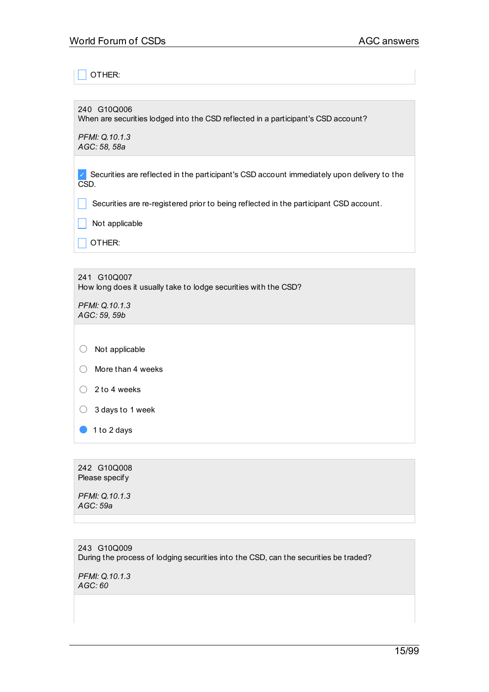OTHER:

240 G10Q006

When are securities lodged into the CSD reflected in a participant's CSD account?

*PFMI: Q.10.1.3 AGC: 58, 58a*

✓ Securities are reflected in the participant's CSD account immediately upon delivery to the CSD.

 $\Box$  Securities are re-registered prior to being reflected in the participant CSD account.

 $\Box$  Not applicable

 $\overline{\phantom{a}}$  OTHER:

241 G10Q007 How long does it usually take to lodge securities with the CSD?

*PFMI: Q.10.1.3 AGC: 59, 59b*

○ Not applicable

- More than <sup>4</sup> weeks
- $\bigcirc$  2 to 4 weeks

 $\bigcirc$  3 days to 1 week

● 1 to 2 days

242 G10Q008 Please specify

*PFMI: Q.10.1.3 AGC: 59a*

243 G10Q009 During the process of lodging securities into the CSD, can the securities be traded?

*PFMI: Q.10.1.3 AGC: 60*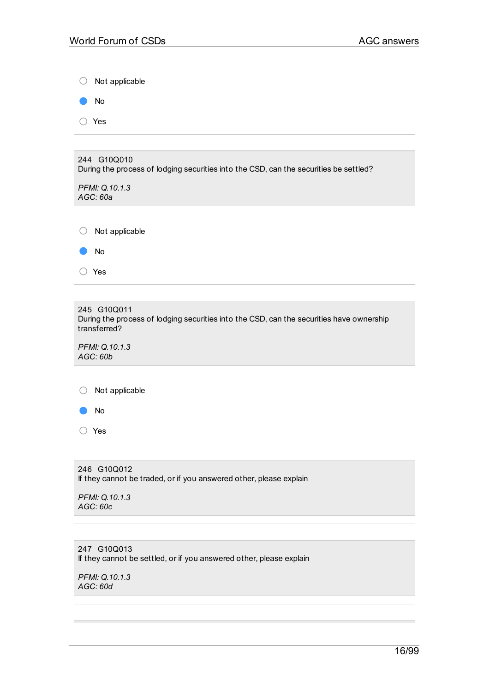$\overline{\phantom{a}}$ 

|                   | $\circ$ Not applicable |
|-------------------|------------------------|
| <b>CONTRACTOR</b> | No                     |
|                   | $\circ$ Yes            |
|                   |                        |

| 244 G10Q010<br>During the process of lodging securities into the CSD, can the securities be settled? |  |  |
|------------------------------------------------------------------------------------------------------|--|--|
| PFMI: Q.10.1.3<br>AGC:60a                                                                            |  |  |
|                                                                                                      |  |  |
| Not applicable                                                                                       |  |  |
| No.                                                                                                  |  |  |
| Yes                                                                                                  |  |  |

| 245 G10Q011<br>During the process of lodging securities into the CSD, can the securities have ownership<br>transferred? |  |  |
|-------------------------------------------------------------------------------------------------------------------------|--|--|
| PFMI: Q.10.1.3<br>AGC:60b                                                                                               |  |  |
| Not applicable<br>No.                                                                                                   |  |  |
| Yes                                                                                                                     |  |  |

246 G10Q012 If they cannot be traded, or if you answered other, please explain

*PFMI: Q.10.1.3 AGC: 60c*

247 G10Q013 If they cannot be settled, or if you answered other, please explain

*PFMI: Q.10.1.3 AGC: 60d*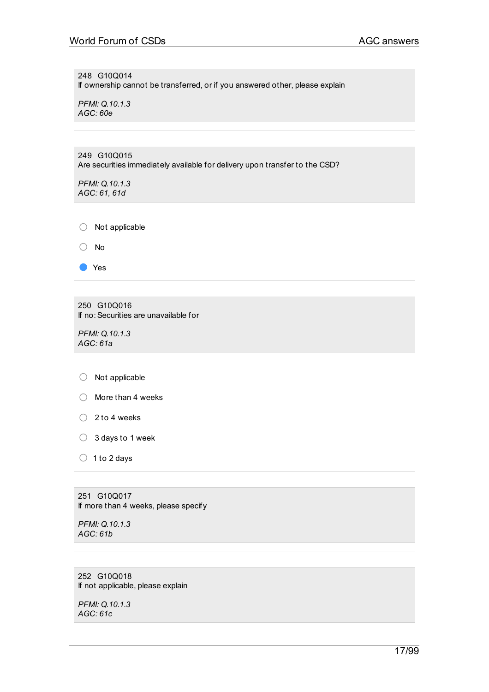248 G10Q014 If ownership cannot be transferred, or if you answered other, please explain

*PFMI: Q.10.1.3 AGC: 60e*

249 G10Q015 Are securities immediately available for delivery upon transfer to the CSD?

*PFMI: Q.10.1.3 AGC: 61, 61d*

○ Not applicable ○ No

250 G10Q016 If no:Securities are unavailable for

*PFMI: Q.10.1.3 AGC: 61a*

● Yes

○ Not applicable

- $\bigcirc$  2 to 4 weeks
- <sup>3</sup> days to <sup>1</sup> week
- $\bigcirc$  1 to 2 days

251 G10Q017 If more than 4 weeks, please specify

*PFMI: Q.10.1.3 AGC: 61b*

252 G10Q018 If not applicable, please explain

*PFMI: Q.10.1.3 AGC: 61c*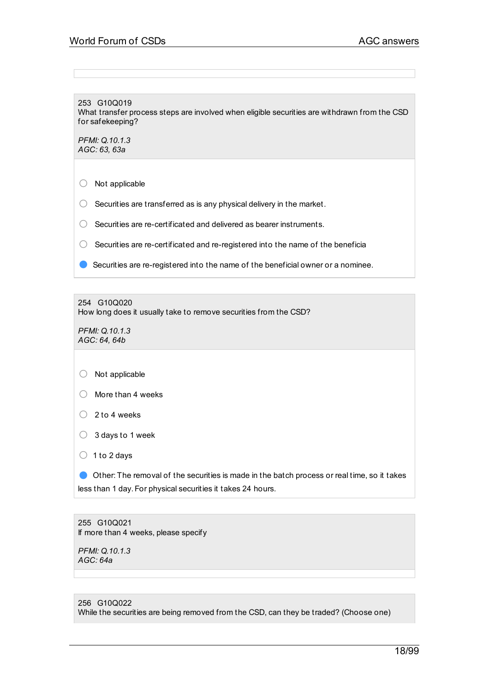253 G10Q019 What transfer process steps are involved when eligible securities are withdrawn from the CSD for safekeeping?

*PFMI: Q.10.1.3 AGC: 63, 63a*

○ Not applicable

- $\bigcirc$  Securities are transferred as is any physical delivery in the market.
- Securities are re-certificated and delivered as bearer instruments.
- $\bigcirc$  Securities are re-certificated and re-registered into the name of the beneficia
- Securities are re-registered into the name of the beneficial owner or a nominee.

254 G10Q020

How long does it usually take to remove securities from the CSD?

*PFMI: Q.10.1.3 AGC: 64, 64b*

|  | Not applicable |
|--|----------------|
|  |                |

- More than 4 weeks
- $\bigcirc$  2 to 4 weeks
- <sup>3</sup> days to <sup>1</sup> week

 $\bigcirc$  1 to 2 days

● Other: The removal of the securities is made in the batch process or real time, so it takes less than 1 day. For physical securities it takes 24 hours.

255 G10Q021 If more than 4 weeks, please specify

*PFMI: Q.10.1.3 AGC: 64a*

256 G10Q022 While the securities are being removed from the CSD, can they be traded? (Choose one)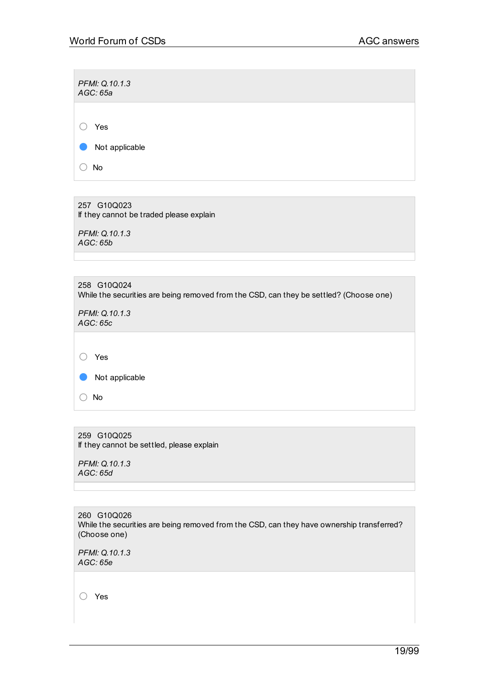*PFMI: Q.10.1.3 AGC: 65a* ○ Yes ● Not applicable ○ No

257 G10Q023 If they cannot be traded please explain

*PFMI: Q.10.1.3 AGC: 65b*

| 258 G10Q024<br>While the securities are being removed from the CSD, can they be settled? (Choose one) |
|-------------------------------------------------------------------------------------------------------|
| <b>PFMI: Q.10.1.3</b><br>AGC:65c                                                                      |
|                                                                                                       |
| Yes                                                                                                   |
| Not applicable                                                                                        |

259 G10Q025 If they cannot be settled, please explain

*PFMI: Q.10.1.3 AGC: 65d*

○ No

260 G10Q026 While the securities are being removed from the CSD, can they have ownership transferred? (Choose one)

*PFMI: Q.10.1.3 AGC: 65e*

○ Yes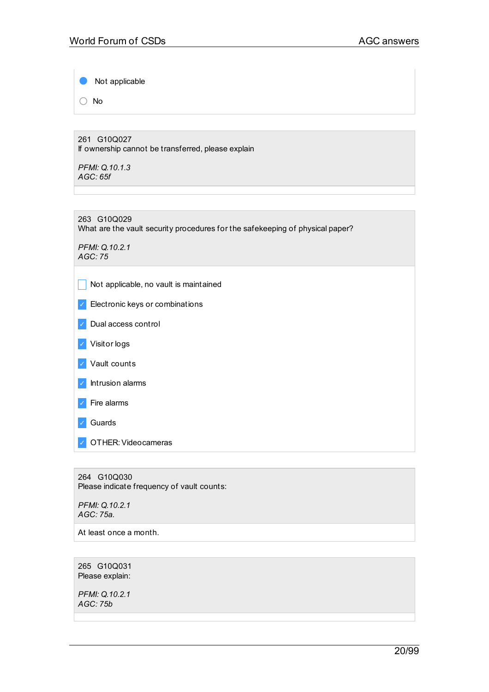Not applicable

○ No

261 G10Q027 If ownership cannot be transferred, please explain

*PFMI: Q.10.1.3 AGC: 65f*

263 G10Q029 What are the vault security procedures for the safekeeping of physical paper?

*PFMI: Q.10.2.1 AGC: 75*

 $\Box$  Not applicable, no vault is maintained

- ✓ Electronic keys or combinations
- ✓ Dual access control
- ✓ Visitor logs
- ✓ Vault counts
- ✓ Intrusion alarms
- ✓ Fire alarms
- ✓ Guards
- ✓ OTHER:Videocameras

264 G10Q030 Please indicate frequency of vault counts:

*PFMI: Q.10.2.1 AGC: 75a.*

At least once a month.

265 G10Q031 Please explain:

*PFMI: Q.10.2.1 AGC: 75b*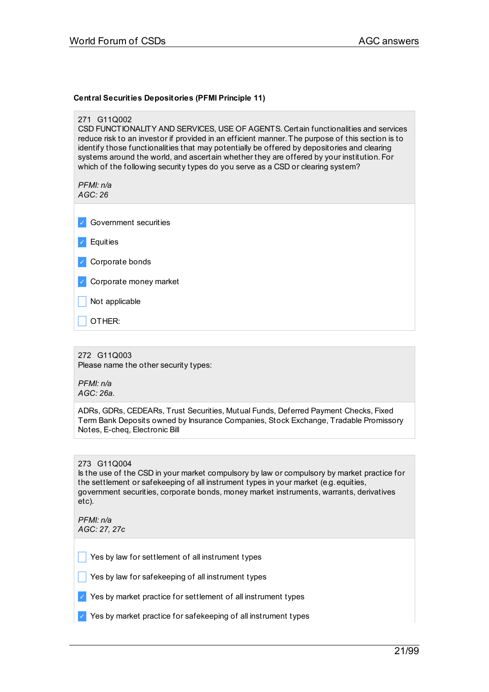## **Central Securities Depositories (PFMI Principle 11)**

| 271 G11Q002<br>CSD FUNCTIONALITY AND SERVICES, USE OF AGENTS. Certain functionalities and services<br>reduce risk to an investor if provided in an efficient manner. The purpose of this section is to<br>identify those functionalities that may potentially be offered by depositories and clearing<br>systems around the world, and ascertain whether they are offered by your institution. For<br>which of the following security types do you serve as a CSD or clearing system?<br>PFMI: n/a |
|----------------------------------------------------------------------------------------------------------------------------------------------------------------------------------------------------------------------------------------------------------------------------------------------------------------------------------------------------------------------------------------------------------------------------------------------------------------------------------------------------|
| AGC:26                                                                                                                                                                                                                                                                                                                                                                                                                                                                                             |
| Government securities                                                                                                                                                                                                                                                                                                                                                                                                                                                                              |
| Equities                                                                                                                                                                                                                                                                                                                                                                                                                                                                                           |
| Corporate bonds                                                                                                                                                                                                                                                                                                                                                                                                                                                                                    |
| Corporate money market                                                                                                                                                                                                                                                                                                                                                                                                                                                                             |
| Not applicable                                                                                                                                                                                                                                                                                                                                                                                                                                                                                     |
| OTHER:                                                                                                                                                                                                                                                                                                                                                                                                                                                                                             |
|                                                                                                                                                                                                                                                                                                                                                                                                                                                                                                    |
| 272 G11Q003<br>Please name the other security types:                                                                                                                                                                                                                                                                                                                                                                                                                                               |
| PFMI: n/a<br>AGC: 26a.                                                                                                                                                                                                                                                                                                                                                                                                                                                                             |
| ADRs, GDRs, CEDEARs, Trust Securities, Mutual Funds, Deferred Payment Checks, Fixed<br>Term Bank Deposits owned by Insurance Companies, Stock Exchange, Tradable Promissory<br>Notes, E-cheq, Electronic Bill                                                                                                                                                                                                                                                                                      |
|                                                                                                                                                                                                                                                                                                                                                                                                                                                                                                    |
| 273 G11Q004<br>Is the use of the CSD in your market compulsory by law or compulsory by market practice for<br>the settlement or safekeeping of all instrument types in your market (e.g. equities,<br>government securities, corporate bonds, money market instruments, warrants, derivatives<br>etc).                                                                                                                                                                                             |

*PFMI: n/a AGC: 27, 27c*

 $\Box$  Yes by law for settlement of all instrument types

 $\Box$  Yes by law for safekeeping of all instrument types

 $\vee$  Yes by market practice for settlement of all instrument types

✓ Yes by market practice for safekeeping of all instrument types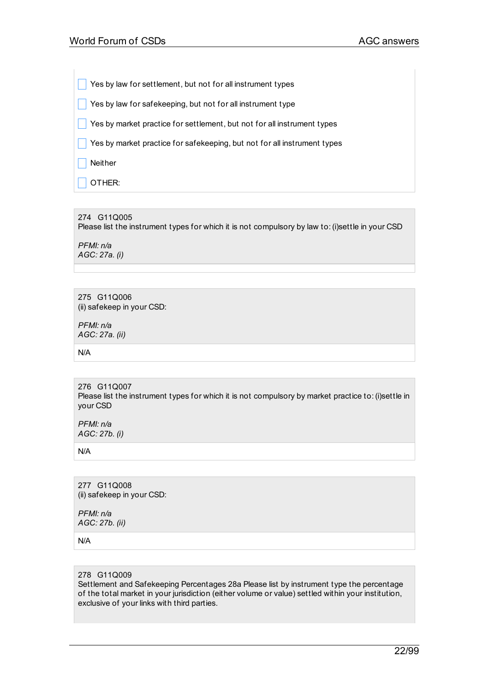Yes by law for settlement, but not for all instrument types

 $\Box$  Yes by law for safekeeping, but not for all instrument type

 $\vert \vert$  Yes by market practice for settlement, but not for all instrument types

 $\Box$  Yes by market practice for safekeeping, but not for all instrument types

 $\overline{\phantom{a}}$  Neither

OTHER:

#### 274 G11Q005

Please list the instrument types for which it is not compulsory by law to:(i)settle in your CSD

*PFMI: n/a AGC: 27a. (i)*

275 G11Q006 (ii) safekeep in your CSD:

*PFMI: n/a AGC: 27a. (ii)*

N/A

276 G11Q007 Please list the instrument types for which it is not compulsory by market practice to: (i)settle in your CSD

*PFMI: n/a AGC: 27b. (i)*

N/A

277 G11Q008 (ii) safekeep in your CSD:

*PFMI: n/a AGC: 27b. (ii)*

N/A

#### 278 G11Q009

Settlement and Safekeeping Percentages 28a Please list by instrument type the percentage of the total market in your jurisdiction (either volume or value) settled within your institution, exclusive of your links with third parties.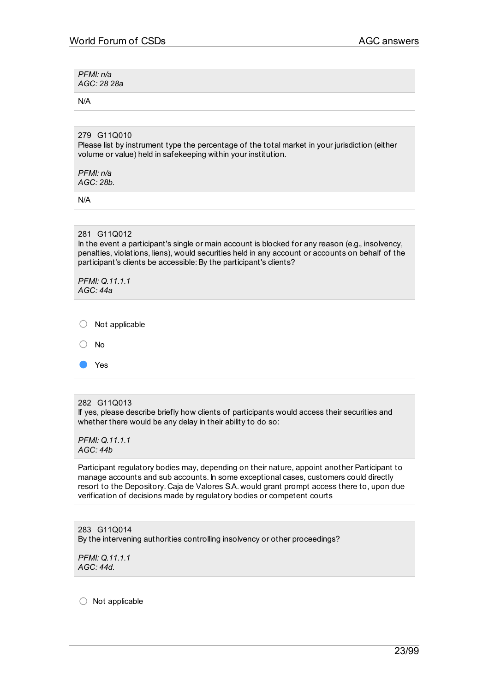*PFMI: n/a AGC: 28 28a*

N/A

# 279 G11Q010

Please list by instrument type the percentage of the total market in your jurisdiction (either volume or value) held in safekeeping within your institution.

*PFMI: n/a AGC: 28b.*

N/A

## 281 G11Q012

In the event a participant's single or main account is blocked for any reason (e.g., insolvency, penalties, violations, liens), would securities held in any account or accounts on behalf of the participant's clients be accessible: By the participant's clients?

|   | PFMI: Q.11.1.1<br>AGC: 44a |
|---|----------------------------|
|   |                            |
| ◡ | Not applicable             |
|   | No                         |
|   | Yes                        |

## 282 G11Q013

If yes, please describe briefly how clients of participants would access their securities and whether there would be any delay in their ability to do so:

*PFMI: Q.11.1.1 AGC: 44b*

Participant regulatory bodies may, depending on their nature, appoint another Participant to manage accounts and sub accounts. In some exceptional cases, customers could directly resort to the Depository. Caja de Valores S.A. would grant prompt access there to, upon due verification of decisions made by regulatory bodies or competent courts

283 G11Q014 By the intervening authorities controlling insolvency or other proceedings?

*PFMI: Q.11.1.1 AGC: 44d.*

 $\bigcirc$  Not applicable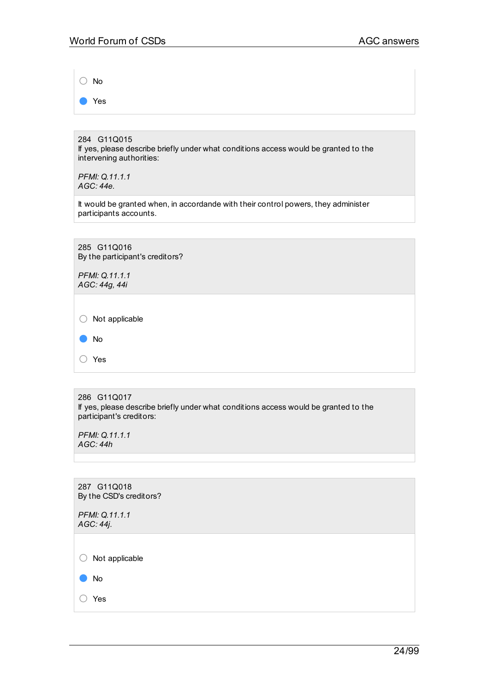○ No

● Yes

284 G11Q015 If yes, please describe briefly under what conditions access would be granted to the intervening authorities:

*PFMI: Q.11.1.1 AGC: 44e.*

It would be granted when, in accordande with their control powers, they administer participants accounts.

285 G11Q016 By the participant's creditors?

*PFMI: Q.11.1.1 AGC: 44g, 44i*

○ Not applicable

| No |
|----|
|    |

○ Yes

286 G11Q017 If yes, please describe briefly under what conditions access would be granted to the participant's creditors:

*PFMI: Q.11.1.1 AGC: 44h*

287 G11Q018 By the CSD's creditors? *PFMI: Q.11.1.1 AGC: 44j.*  $\bigcirc$  Not applicable ● No ○ Yes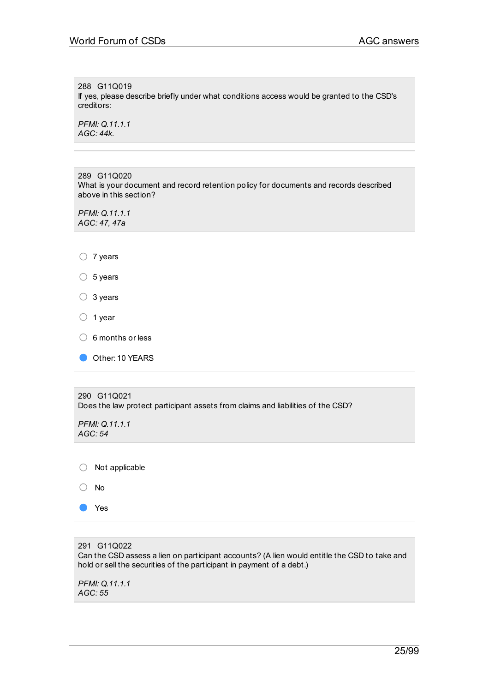288 G11Q019 If yes, please describe briefly under what conditions access would be granted to the CSD's creditors:

*PFMI: Q.11.1.1 AGC: 44k.*

289 G11Q020 What is your document and record retention policy for documents and records described above in this section?

*PFMI: Q.11.1.1 AGC: 47, 47a*

| 7 years |
|---------|
|         |

 $\circ$  5 years

○ 3 years

- <sup>1</sup> year
- $\circ$  6 months or less
- Other: 10 YEARS

| 290 G11Q021<br>Does the law protect participant assets from claims and liabilities of the CSD? |  |  |
|------------------------------------------------------------------------------------------------|--|--|
| PFMI: Q.11.1.1<br>AGC: 54                                                                      |  |  |
| Not applicable                                                                                 |  |  |
| No.                                                                                            |  |  |
| Yes                                                                                            |  |  |

291 G11Q022 Can the CSD assess a lien on participant accounts? (A lien would entitle the CSD to take and hold or sell the securities of the participant in payment of a debt.)

*PFMI: Q.11.1.1 AGC: 55*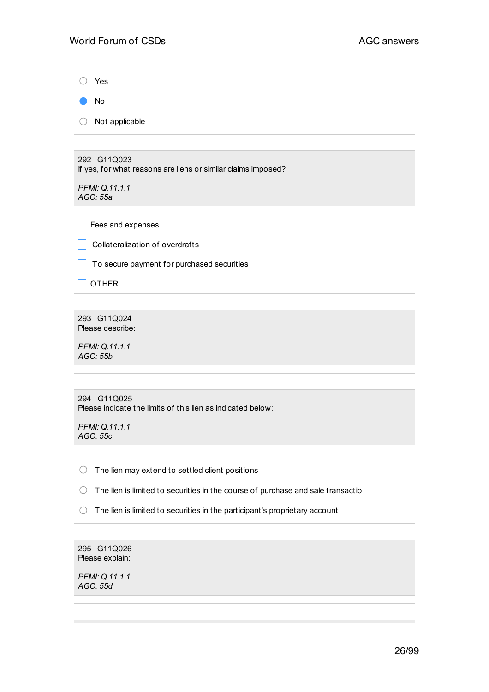○ Yes ● No

○ Not applicable

292 G11Q023 If yes, for what reasons are liens or similar claims imposed?

*PFMI: Q.11.1.1 AGC: 55a*

 $\Box$  Fees and expenses

 $\Box$  Collateralization of overdrafts

 $\Box$  To secure payment for purchased securities

 $\Box$  OTHER:

293 G11Q024 Please describe:

*PFMI: Q.11.1.1 AGC: 55b*

| 294 G11Q025                                                 |
|-------------------------------------------------------------|
| Please indicate the limits of this lien as indicated below: |

*PFMI: Q.11.1.1 AGC: 55c*

 $\bigcirc$  The lien may extend to settled client positions

○ The lien is limited to securities in the course of purchase and sale transactio

 $\bigcirc$  The lien is limited to securities in the participant's proprietary account

295 G11Q026 Please explain:

*PFMI: Q.11.1.1 AGC: 55d*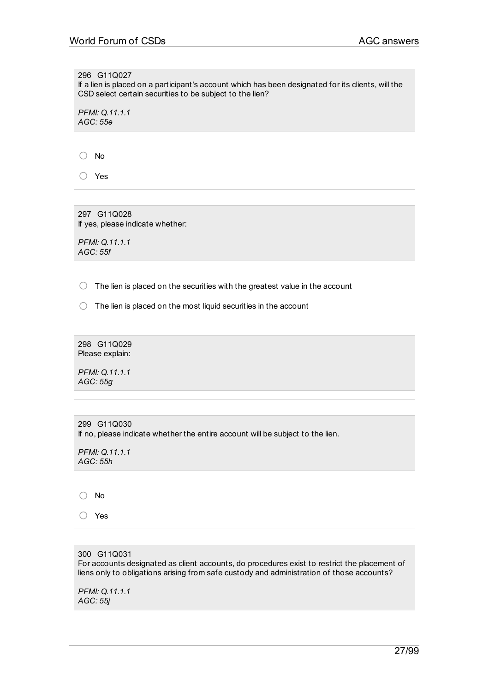296 G11Q027

If a lien is placed on a participant's account which has been designated for its clients, will the CSD select certain securities to be subject to the lien?

*PFMI: Q.11.1.1 AGC: 55e*

○ No

○ Yes

297 G11Q028 If yes, please indicate whether:

*PFMI: Q.11.1.1 AGC: 55f*

 $\bigcirc$  The lien is placed on the securities with the greatest value in the account

 $\bigcirc$  The lien is placed on the most liquid securities in the account

298 G11Q029 Please explain:

*PFMI: Q.11.1.1 AGC: 55g*

| 299 G11Q030<br>If no, please indicate whether the entire account will be subject to the lien. |  |
|-----------------------------------------------------------------------------------------------|--|
| PFMI: Q.11.1.1<br>$\Lambda$ $\Lambda$ $\Lambda$ . $\Gamma$ $\Gamma$ $\Gamma$                  |  |

*AGC: 55h*

○ No

○ Yes

300 G11Q031 For accounts designated as client accounts, do procedures exist to restrict the placement of liens only to obligations arising from safe custody and administration of those accounts?

*PFMI: Q.11.1.1 AGC: 55j*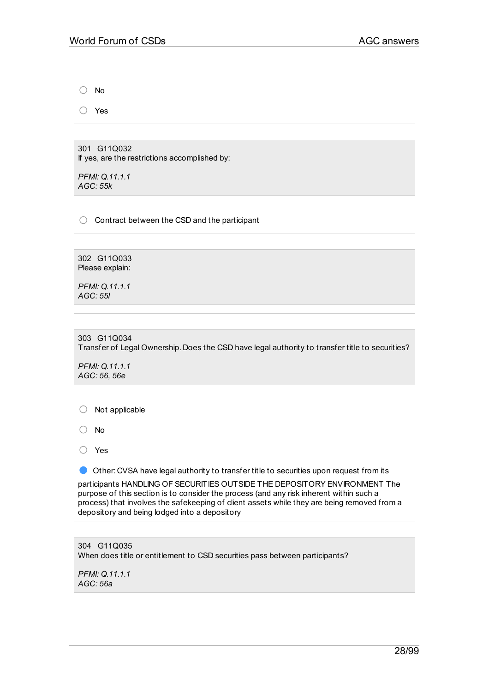○ No

○ Yes

301 G11Q032 If yes, are the restrictions accomplished by:

*PFMI: Q.11.1.1 AGC: 55k*

○ Contract between the CSD and the participant

302 G11Q033 Please explain:

*PFMI: Q.11.1.1 AGC: 55l*

303 G11Q034 Transfer of Legal Ownership. Does the CSD have legal authority to transfer title to securities?

*PFMI: Q.11.1.1 AGC: 56, 56e*

○ Not applicable

○ No

○ Yes

● Other: CVSA have legal authority to transfer title to securities upon request from its

participants HANDLING OF SECURITIES OUTSIDE THE DEPOSITORY ENVIRONMENT The purpose of this section is to consider the process (and any risk inherent within such a process) that involves the safekeeping of client assets while they are being removed from a depository and being lodged into a depository

304 G11Q035 When does title or entitlement to CSD securities pass between participants?

*PFMI: Q.11.1.1 AGC: 56a*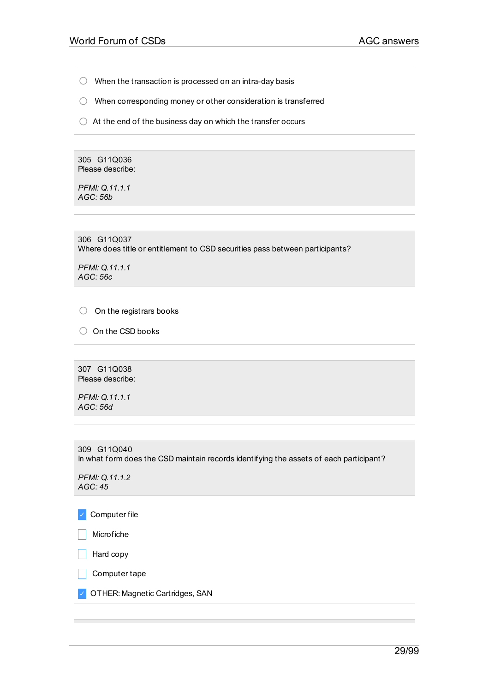- $\bigcirc$  When the transaction is processed on an intra-day basis
- When corresponding money or other consideration is transferred
- $\bigcirc$  At the end of the business day on which the transfer occurs

305 G11Q036 Please describe:

*PFMI: Q.11.1.1 AGC: 56b*

306 G11Q037 Where does title or entitlement to CSD securities pass between participants?

*PFMI: Q.11.1.1 AGC: 56c*

 $\bigcirc$  On the registrars books

○ On the CSD books

307 G11Q038 Please describe:

*PFMI: Q.11.1.1 AGC: 56d*

309 G11Q040 In what form does the CSD maintain records identifying the assets of each participant?

*PFMI: Q.11.1.2 AGC: 45*

✓ Computer file

 $\Box$  Microfiche

 $\Box$  Hard copy

 $\Box$  Computer tape

✓ OTHER: Magnetic Cartridges, SAN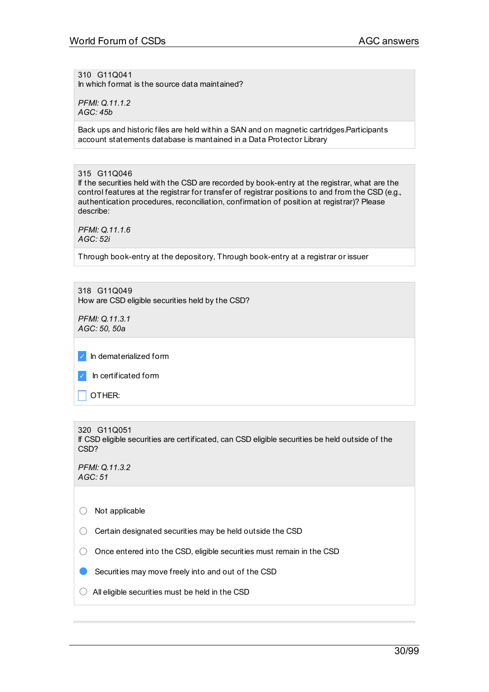310 G11Q041 In which format is the source data maintained?

*PFMI: Q.11.1.2 AGC: 45b*

Back ups and historic files are held within a SAN and on magnetic cartridges.Participants account statements database is mantained in a Data Protector Library

315 G11Q046 If the securities held with the CSD are recorded by book-entry at the registrar, what are the control features at the registrar for transfer of registrar positions to and from the CSD (e.g., authentication procedures, reconciliation, confirmation of position at registrar)? Please describe:

*PFMI: Q.11.1.6 AGC: 52i*

Through book-entry at the depository, Through book-entry at a registrar or issuer

318 G11Q049 How are CSD eligible securities held by the CSD?

*PFMI: Q.11.3.1 AGC: 50, 50a*

✓ In dematerialized form

In certificated form

 $\vert$  OTHER:

```
320 G11Q051
If CSD eligible securities are certificated, can CSD eligible securities be held outside of the
CSD?
```
*PFMI: Q.11.3.2 AGC: 51*

 $\bigcirc$  Not applicable

 $\bigcirc$  Certain designated securities may be held outside the CSD

○ Once entered into the CSD, eligible securities must remain in the CSD

Securities may move freely into and out of the CSD

 $\bigcirc$  All eligible securities must be held in the CSD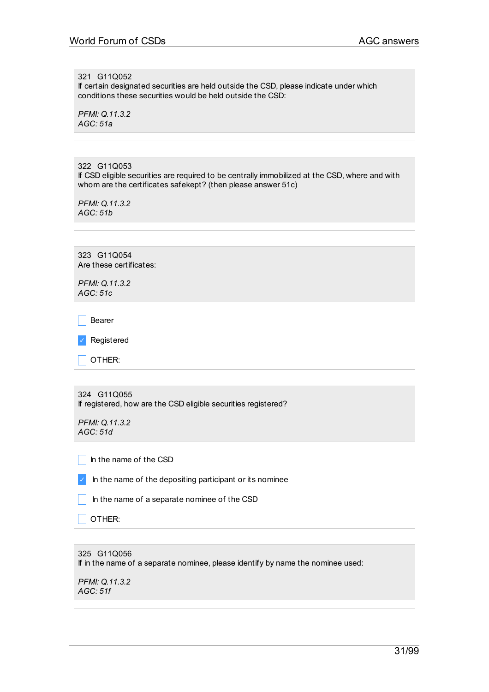321 G11Q052

If certain designated securities are held outside the CSD, please indicate under which conditions these securities would be held outside the CSD:

*PFMI: Q.11.3.2 AGC: 51a*

322 G11Q053

If CSD eligible securities are required to be centrally immobilized at the CSD, where and with whom are the certificates safekept? (then please answer 51c)

*PFMI: Q.11.3.2 AGC: 51b*

323 G11Q054 Are these certificates:

*PFMI: Q.11.3.2 AGC: 51c*

 $\Box$  Bearer

✓ Registered

 $\Box$  OTHER:

324 G11Q055 If registered, how are the CSD eligible securities registered?

*PFMI: Q.11.3.2 AGC: 51d*

 $\Box$  In the name of the CSD

 $\triangleright$  In the name of the depositing participant or its nominee

 $\Box$  In the name of a separate nominee of the CSD

OTHER:

# 325 G11Q056 If in the name of a separate nominee, please identify by name the nominee used:

*PFMI: Q.11.3.2 AGC: 51f*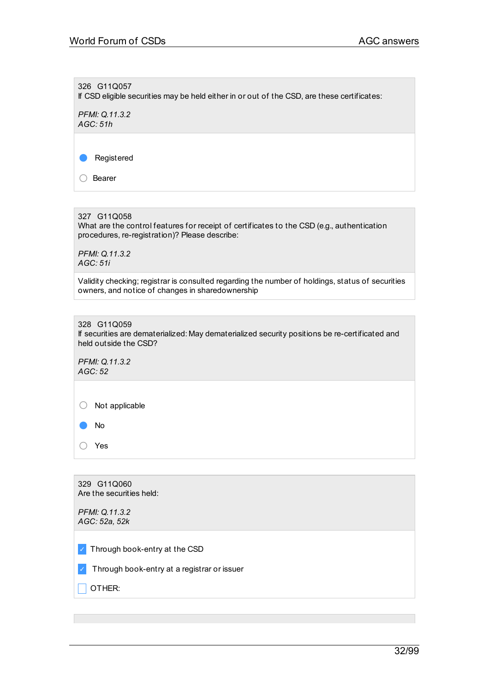326 G11Q057 If CSD eligible securities may be held either in or out of the CSD, are these certificates: *PFMI: Q.11.3.2 AGC: 51h* ● Registered ○ Bearer 327 G11Q058 What are the control features for receipt of certificates to the CSD (e.g., authentication procedures, re-registration)? Please describe: *PFMI: Q.11.3.2 AGC: 51i* Validity checking; registrar is consulted regarding the number of holdings, status of securities owners, and notice of changes in sharedownership 328 G11Q059 If securities are dematerialized: May dematerialized security positions be re-certificated and held outside the CSD? *PFMI: Q.11.3.2 AGC: 52* ○ Not applicable ● No ○ Yes 329 G11Q060 Are the securities held: *PFMI: Q.11.3.2 AGC: 52a, 52k* ✓ Through book-entry at the CSD ✓ Through book-entry at a registrar or issuer  $\overline{\phantom{a}}$  OTHER: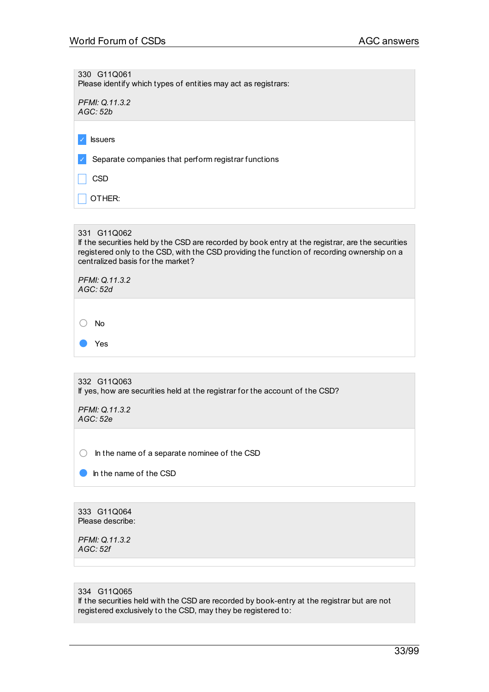330 G11Q061 Please identify which types of entities may act as registrars: *PFMI: Q.11.3.2 AGC: 52b* ✓ Issuers Separate companies that perform registrar functions \_ CSD  $\overline{\phantom{a}}$  OTHER: 331 G11Q062

If the securities held by the CSD are recorded by book entry at the registrar, are the securities registered only to the CSD, with the CSD providing the function of recording ownership on a centralized basis for the market?

| PFMI: Q.11.3.2<br>AGC: 52d |  |  |  |
|----------------------------|--|--|--|
|                            |  |  |  |
| No                         |  |  |  |
| Yes                        |  |  |  |
|                            |  |  |  |

332 G11Q063 If yes, how are securities held at the registrar for the account of the CSD?

*PFMI: Q.11.3.2 AGC: 52e*

 $\bigcirc$  In the name of a separate nominee of the CSD

**C** In the name of the CSD

333 G11Q064 Please describe:

*PFMI: Q.11.3.2 AGC: 52f*

#### 334 G11Q065

If the securities held with the CSD are recorded by book-entry at the registrar but are not registered exclusively to the CSD, may they be registered to: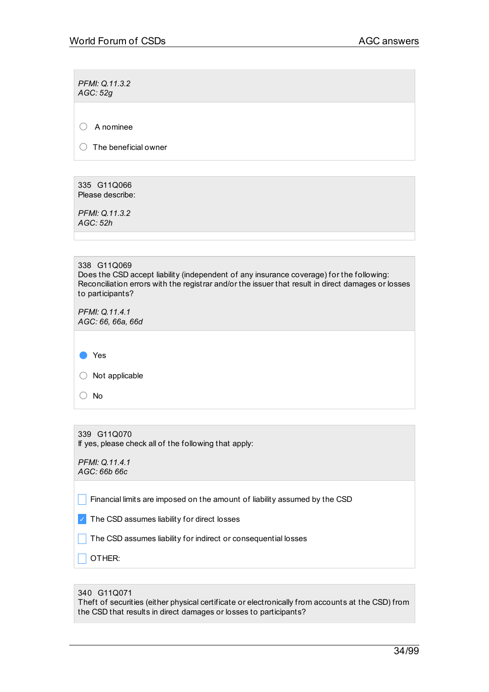*PFMI: Q.11.3.2 AGC: 52g*

○ <sup>A</sup> nominee

 $\bigcirc$  The beneficial owner

335 G11Q066 Please describe:

*PFMI: Q.11.3.2 AGC: 52h*

*PFMI: Q.11.4.1 AGC: 66, 66a, 66d*

● Yes

 $\bigcirc$  Not applicable

○ No

339 G11Q070 If yes, please check all of the following that apply:

*PFMI: Q.11.4.1 AGC: 66b 66c*

 $\Box$  Financial limits are imposed on the amount of liability assumed by the CSD

 $\sqrt{ }$  The CSD assumes liability for direct losses

 $\Box$  The CSD assumes liability for indirect or consequential losses

 $\Box$  Other:

| 340 G11Q071 |  |
|-------------|--|
|             |  |

Theft of securities (either physical certificate or electronically from accounts at the CSD) from the CSD that results in direct damages or losses to participants?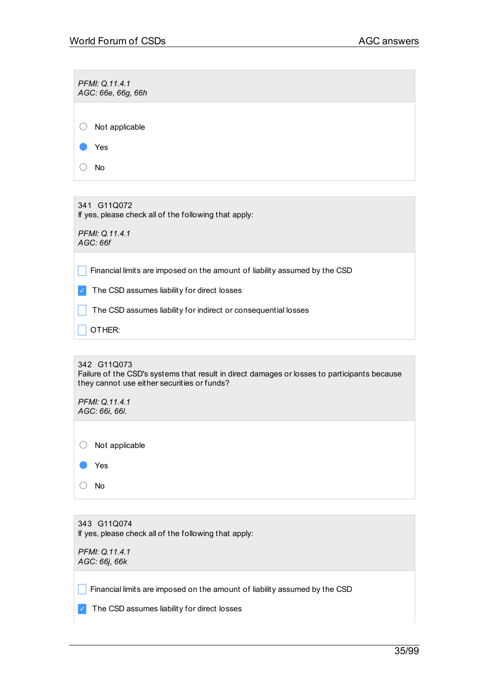| PFMI: Q.11.4.1<br>AGC: 66e, 66g, 66h                                       |
|----------------------------------------------------------------------------|
|                                                                            |
| Not applicable                                                             |
| Yes                                                                        |
| No                                                                         |
|                                                                            |
| 341 G11Q072<br>If yes, please check all of the following that apply:       |
| PFMI: Q.11.4.1<br>AGC: 66f                                                 |
| Financial limits are imposed on the amount of liability assumed by the CSD |
| The CSD assumes liability for direct losses                                |
| The CSD assumes liability for indirect or consequential losses             |

OTHER:

342 G11Q073 Failure of the CSD's systems that result in direct damages or losses to participants because they cannot use either securities or funds?

*PFMI: Q.11.4.1 AGC: 66i, 66l.*

| Not applicable |
|----------------|
| $\bullet$ Yes  |
| No             |

343 G11Q074 If yes, please check all of the following that apply:

*PFMI: Q.11.4.1 AGC: 66j, 66k*

**Financial limits are imposed on the amount of liability assumed by the CSD** 

✓ The CSD assumes liability for direct losses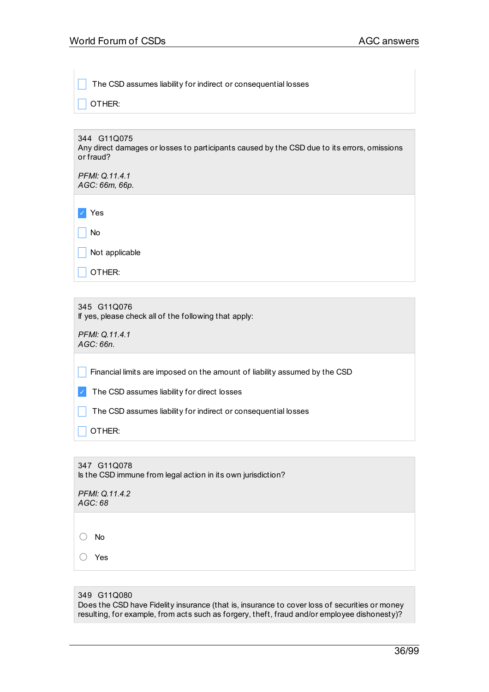The CSD assumes liability for indirect or consequential losses

OTHER:

344 G11Q075 Any direct damages or losses to participants caused by the CSD due to its errors, omissions or fraud?

*PFMI: Q.11.4.1 AGC: 66m, 66p.*

✓ Yes

 $\overline{\phantom{a}}$  No

 $\sqrt{\phantom{a}}$  Not applicable

 $\Box$  OTHER:

345 G11Q076 If yes, please check all of the following that apply:

*PFMI: Q.11.4.1 AGC: 66n.*

 $\Box$  Financial limits are imposed on the amount of liability assumed by the CSD

✓ The CSD assumes liability for direct losses

 $\Box$  The CSD assumes liability for indirect or consequential losses

 $\Box$  OTHER:

347 G11Q078 Is the CSD immune from legal action in its own jurisdiction?

*PFMI: Q.11.4.2 AGC: 68*

○ No

○ Yes

|  |  | 349 G11Q080 |
|--|--|-------------|
|--|--|-------------|

Does the CSD have Fidelity insurance (that is, insurance to cover loss of securities or money resulting, for example, from acts such as forgery, theft, fraud and/or employee dishonesty)?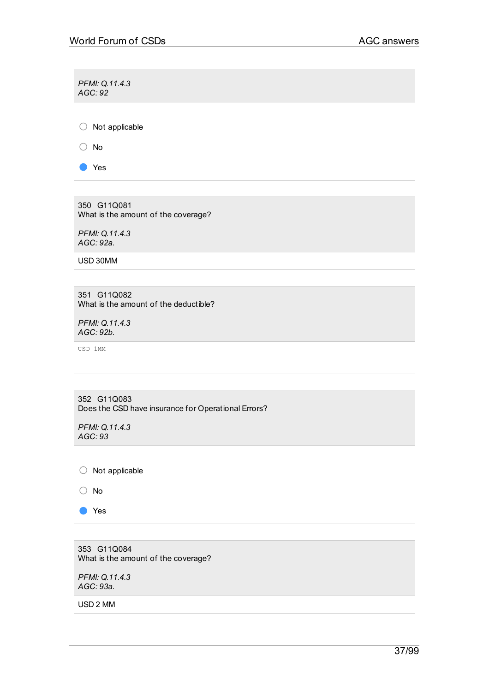*PFMI: Q.11.4.3 AGC: 92* ○ Not applicable ○ No ● Yes

350 G11Q081 What is the amount of the coverage?

*PFMI: Q.11.4.3 AGC: 92a.*

USD 30MM

351 G11Q082 What is the amount of the deductible?

*PFMI: Q.11.4.3 AGC: 92b.*

USD 1MM

| 352 G11Q083<br>Does the CSD have insurance for Operational Errors? |
|--------------------------------------------------------------------|
| PFMI: Q.11.4.3<br>AGC:93                                           |

○ Not applicable

○ No

● Yes

353 G11Q084 What is the amount of the coverage?

*PFMI: Q.11.4.3 AGC: 93a.*

USD 2 MM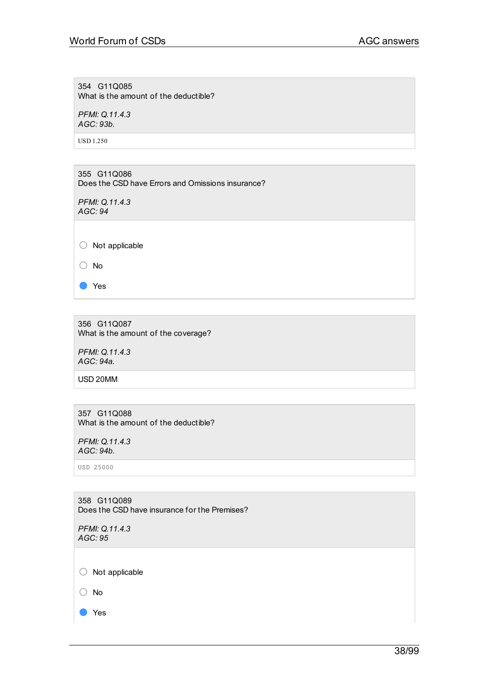354 G11Q085 What is the amount of the deductible?

*PFMI: Q.11.4.3 AGC: 93b.*

USD 1.250

355 G11Q086 Does the CSD have Errors and Omissions insurance?

*PFMI: Q.11.4.3 AGC: 94*

○ Not applicable

○ No

● Yes

356 G11Q087 What is the amount of the coverage?

*PFMI: Q.11.4.3 AGC: 94a.*

USD 20MM

357 G11Q088 What is the amount of the deductible?

*PFMI: Q.11.4.3 AGC: 94b.*

USD 25000

358 G11Q089 Does the CSD have insurance for the Premises?

*PFMI: Q.11.4.3 AGC: 95*

 $\bigcirc$  Not applicable

○ No

● Yes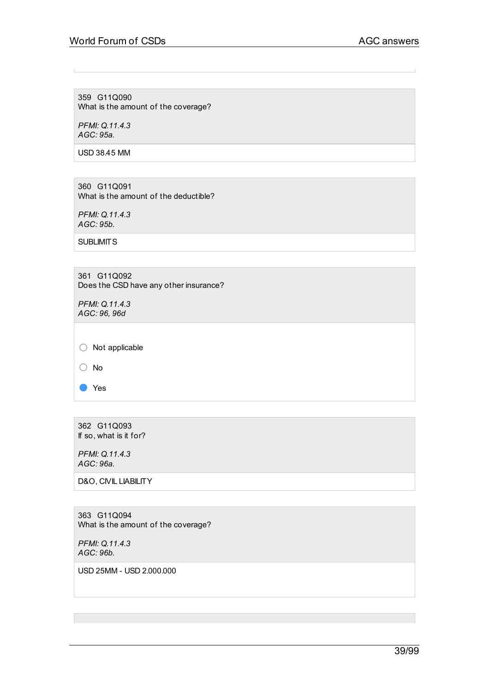359 G11Q090 What is the amount of the coverage?

*PFMI: Q.11.4.3 AGC: 95a.*

USD 38.45 MM

360 G11Q091 What is the amount of the deductible?

*PFMI: Q.11.4.3 AGC: 95b.*

**SUBLIMITS** 

361 G11Q092 Does the CSD have any other insurance?

*PFMI: Q.11.4.3 AGC: 96, 96d*

○ Not applicable

○ No

● Yes

362 G11Q093 If so, what is it for?

*PFMI: Q.11.4.3 AGC: 96a.*

D&O, CIVIL LIABILITY

363 G11Q094 What is the amount of the coverage?

*PFMI: Q.11.4.3 AGC: 96b.*

USD 25MM - USD 2.000.000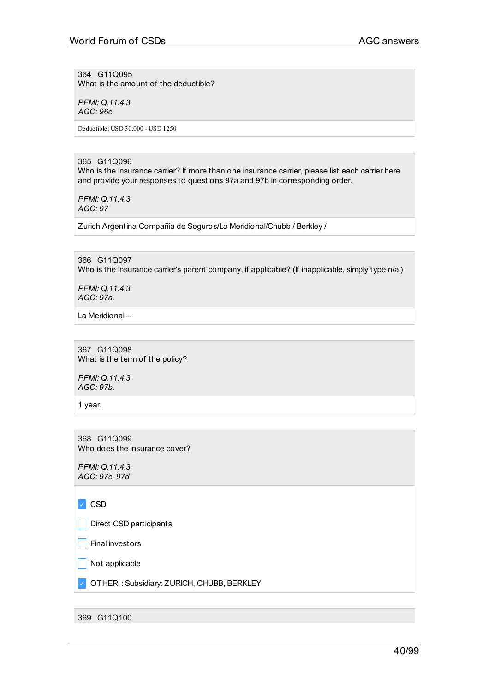364 G11Q095 What is the amount of the deductible?

*PFMI: Q.11.4.3 AGC: 96c.*

Deductible: USD 30.000 - USD 1250

365 G11Q096 Who is the insurance carrier? If more than one insurance carrier, please list each carrier here and provide your responses to questions 97a and 97b in corresponding order.

*PFMI: Q.11.4.3 AGC: 97*

Zurich Argentina Compañia de Seguros/La Meridional/Chubb / Berkley /

366 G11Q097 Who is the insurance carrier's parent company, if applicable? (If inapplicable, simply type n/a.)

*PFMI: Q.11.4.3 AGC: 97a.*

La Meridional –

367 G11Q098 What is the term of the policy?

*PFMI: Q.11.4.3 AGC: 97b.*

1 year.

368 G11Q099 Who does the insurance cover?

*PFMI: Q.11.4.3 AGC: 97c, 97d*

✓ CSD

Direct CSD participants

 $\Box$  Final investors

 $\Box$  Not applicable

✓ OTHER: :Subsidiary: ZURICH, CHUBB, BERKLEY

369 G11Q100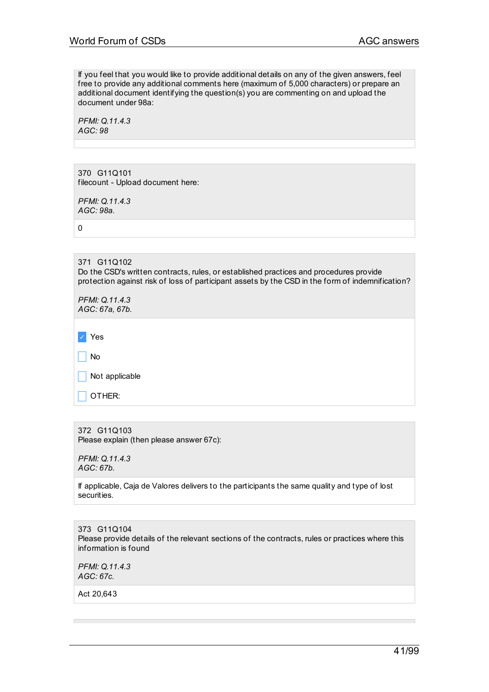If you feel that you would like to provide additional details on any of the given answers, feel free to provide any additional comments here (maximum of 5,000 characters) or prepare an additional document identifying the question(s) you are commenting on and upload the document under 98a:

*PFMI: Q.11.4.3 AGC: 98*

370 G11Q101 filecount - Upload document here:

*PFMI: Q.11.4.3 AGC: 98a.*

0

371 G11Q102 Do the CSD's written contracts, rules, or established practices and procedures provide protection against risk of loss of participant assets by the CSD in the form of indemnification?

*PFMI: Q.11.4.3 AGC: 67a, 67b.*

✓ Yes

 $\Box$  No

Not applicable

 $\Box$  OTHER:

372 G11Q103 Please explain (then please answer 67c):

*PFMI: Q.11.4.3 AGC: 67b.*

If applicable, Caja de Valores delivers to the participants the same quality and type of lost securities.

373 G11Q104 Please provide details of the relevant sections of the contracts, rules or practices where this information is found

*PFMI: Q.11.4.3 AGC: 67c.*

Act 20,643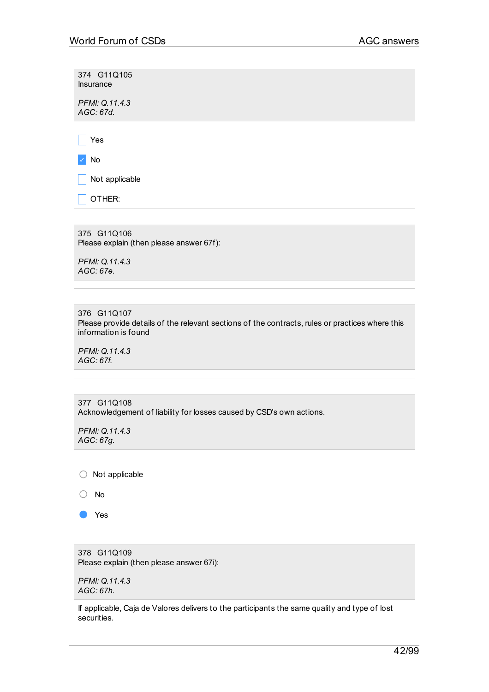| 374 G11Q105<br><b>Insurance</b> |  |
|---------------------------------|--|
| PFMI: Q.11.4.3<br>AGC: 67d.     |  |
|                                 |  |
| Yes                             |  |
| No                              |  |
| Not applicable                  |  |
| OTHER:                          |  |
|                                 |  |

375 G11Q106 Please explain (then please answer 67f):

*PFMI: Q.11.4.3 AGC: 67e.*

376 G11Q107 Please provide details of the relevant sections of the contracts, rules or practices where this information is found

*PFMI: Q.11.4.3 AGC: 67f.*

| 377 G11Q108                                                          |
|----------------------------------------------------------------------|
| Acknowledgement of liability for losses caused by CSD's own actions. |

*PFMI: Q.11.4.3 AGC: 67g.*

○ Not applicable

- No
- Yes

378 G11Q109 Please explain (then please answer 67i):

*PFMI: Q.11.4.3 AGC: 67h.*

If applicable, Caja de Valores delivers to the participants the same quality and type of lost securities.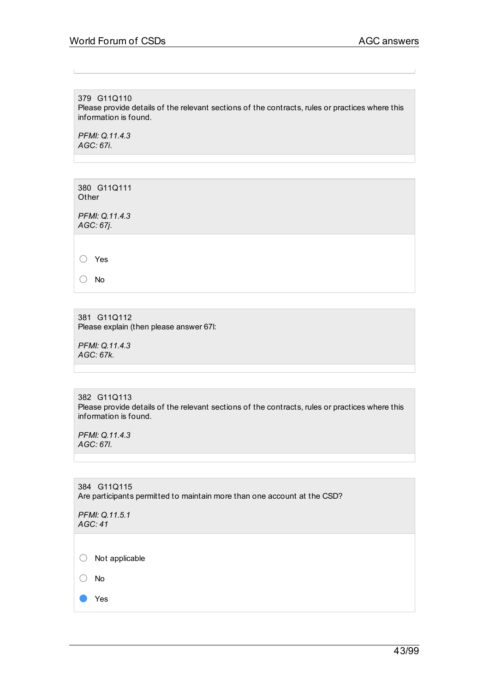379 G11Q110 Please provide details of the relevant sections of the contracts, rules or practices where this information is found.

*PFMI: Q.11.4.3 AGC: 67i.*

380 G11Q111 **Other** 

*PFMI: Q.11.4.3 AGC: 67j.*

○ Yes

○ No

381 G11Q112 Please explain (then please answer 67l:

*PFMI: Q.11.4.3 AGC: 67k.*

382 G11Q113 Please provide details of the relevant sections of the contracts, rules or practices where this information is found.

*PFMI: Q.11.4.3 AGC: 67l.*

384 G11Q115 Are participants permitted to maintain more than one account at the CSD?

*PFMI: Q.11.5.1 AGC: 41* ○ Not applicable

○ No

● Yes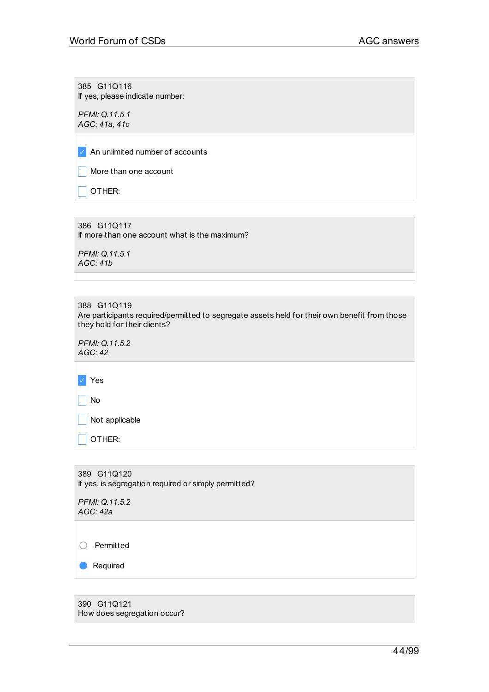385 G11Q116 If yes, please indicate number:

*PFMI: Q.11.5.1 AGC: 41a, 41c*

✓ An unlimited number of accounts

 $\Box$  More than one account

 $\Box$  OTHER:

386 G11Q117 If more than one account what is the maximum?

*PFMI: Q.11.5.1 AGC: 41b*

388 G11Q119 Are participants required/permitted to segregate assets held for their own benefit from those they hold for their clients?

*PFMI: Q.11.5.2 AGC: 42*

✓ Yes

 $\Box$  No

 $\Box$  Not applicable

 $\Box$  OTHER:

389 G11Q120 If yes, is segregation required or simply permitted?

*PFMI: Q.11.5.2 AGC: 42a*

○ Permitted

● Required

390 G11Q121 How does segregation occur?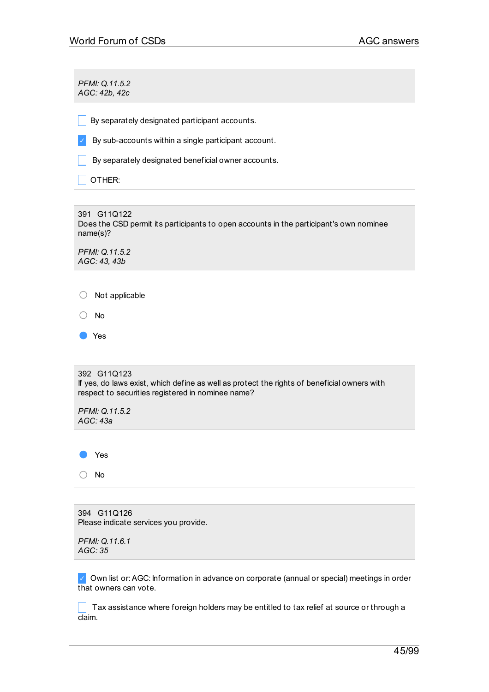*PFMI: Q.11.5.2 AGC: 42b, 42c*  $\Box$  By separately designated participant accounts.  $\triangledown$  By sub-accounts within a single participant account.  $\Box$  By separately designated beneficial owner accounts.  $\Box$  OTHER:

391 G11Q122 Does the CSD permit its participants to open accounts in the participant's own nominee name(s)?

*PFMI: Q.11.5.2 AGC: 43, 43b*

○ Not applicable

○ No

● Yes

392 G11Q123 If yes, do laws exist, which define as well as protect the rights of beneficial owners with respect to securities registered in nominee name?

*PFMI: Q.11.5.2 AGC: 43a*

Yes ○ No

394 G11Q126 Please indicate services you provide.

*PFMI: Q.11.6.1 AGC: 35*

✓ Own list or:AGC: Information in advance on corporate (annual or special) meetings in order that owners can vote.

 $\Box$  Tax assistance where foreign holders may be entitled to tax relief at source or through a claim.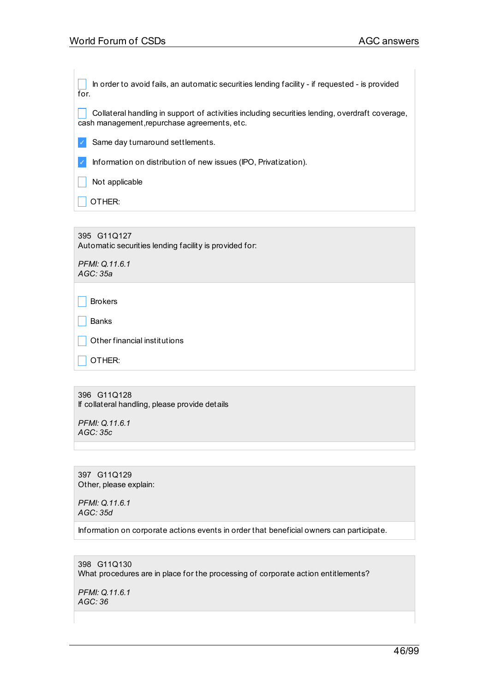\_ In order to avoid fails, an automatic securities lending facility - if requested - is provided for.

collateral handling in support of activities including securities lending, overdraft coverage, cash management, repurchase agreements, etc.

✓ Same day turnaround settlements.

✓ Information on distribution of new issues (IPO, Privatization).

 $\vert$  Not applicable

 $\overline{\phantom{a}}$  OTHER:

395 G11Q127 Automatic securities lending facility is provided for:

*PFMI: Q.11.6.1 AGC: 35a*

 $\Box$  Brokers

 $\Box$  Banks

 $\vert$   $\vert$  Other financial institutions

 $\Box$  OTHER:

396 G11Q128 If collateral handling, please provide details

*PFMI: Q.11.6.1 AGC: 35c*

397 G11Q129 Other, please explain:

*PFMI: Q.11.6.1 AGC: 35d*

Information on corporate actions events in order that beneficial owners can participate.

398 G11Q130 What procedures are in place for the processing of corporate action entitlements?

*PFMI: Q.11.6.1 AGC: 36*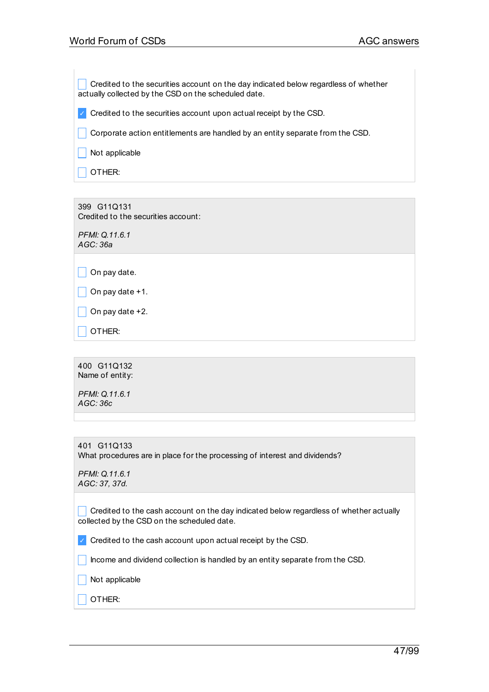Credited to the securities account on the day indicated below regardless of whether actually collected by the CSD on the scheduled date.

 $\vee$  Credited to the securities account upon actual receipt by the CSD.

 $\Box$  Corporate action entitlements are handled by an entity separate from the CSD.

 $\Box$  Not applicable

 $\Box$  OTHER:

399 G11Q131 Credited to the securities account:

*PFMI: Q.11.6.1 AGC: 36a*

 $\Box$  On pay date +1.

 $\Box$  On pay date +2.

 $\overline{\phantom{a}}$  OTHER:

400 G11Q132 Name of entity:

*PFMI: Q.11.6.1 AGC: 36c*

| 401 G11Q133                                                                |
|----------------------------------------------------------------------------|
| What procedures are in place for the processing of interest and dividends? |

*PFMI: Q.11.6.1 AGC: 37, 37d.*

 $\Box$  Credited to the cash account on the day indicated below regardless of whether actually collected by the CSD on the scheduled date.

 $\triangledown$  Credited to the cash account upon actual receipt by the CSD.

 $\blacksquare$  Income and dividend collection is handled by an entity separate from the CSD.

 $\Box$  Not applicable

 $\sqsupset$  OTHER: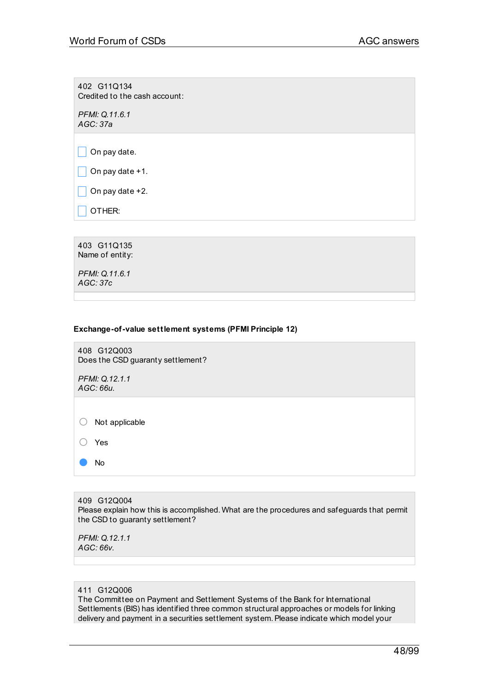402 G11Q134 Credited to the cash account:

*PFMI: Q.11.6.1 AGC: 37a*

 $\Box$  On pay date.

 $\Box$  On pay date +1.

 $\Box$  On pay date +2.

 $\Box$  OTHER:

403 G11Q135 Name of entity: *PFMI: Q.11.6.1 AGC: 37c*

## **Exchange-of-value settlement systems (PFMI Principle 12)**

408 G12Q003 Does the CSD guaranty settlement?

*PFMI: Q.12.1.1 AGC: 66u.*

○ Not applicable

○ Yes

● No

409 G12Q004 Please explain how this is accomplished. What are the procedures and safeguards that permit the CSD to guaranty settlement?

*PFMI: Q.12.1.1 AGC: 66v.*

#### 411 G12Q006

The Committee on Payment and Settlement Systems of the Bank for International Settlements (BIS) has identified three common structural approaches or models for linking delivery and payment in a securities settlement system. Please indicate which model your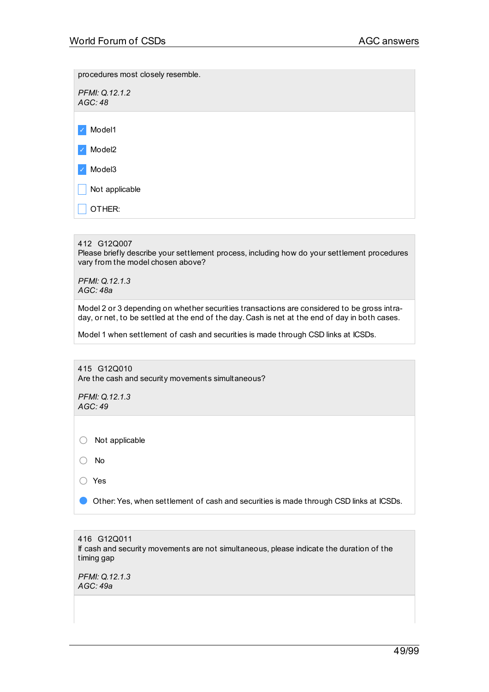procedures most closely resemble.

*PFMI: Q.12.1.2 AGC: 48*

✓ Model1

✓ Model2

✓ Model3

 $\Box$  Not applicable

 $\Box$  OTHER:

412 G12Q007

Please briefly describe your settlement process, including how do your settlement procedures vary from the model chosen above?

*PFMI: Q.12.1.3 AGC: 48a*

Model 2 or 3 depending on whether securities transactions are considered to be gross intraday, or net, to be settled at the end of the day. Cash is net at the end of day in both cases.

Model 1 when settlement of cash and securities is made through CSD links at ICSDs.

415 G12Q010 Are the cash and security movements simultaneous? *PFMI: Q.12.1.3 AGC: 49* ○ Not applicable ○ No ○ Yes ● Other: Yes, when settlement of cash and securities is made through CSD links at ICSDs.

416 G12Q011 If cash and security movements are not simultaneous, please indicate the duration of the timing gap

*PFMI: Q.12.1.3 AGC: 49a*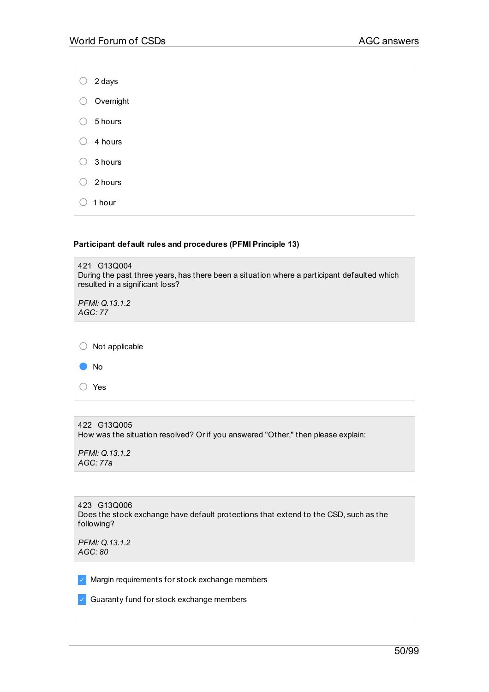| C | 2 days    |
|---|-----------|
|   | Overnight |
|   | 5 hours   |
|   | 4 hours   |
|   | 3 hours   |
|   | 2 hours   |
|   | 1 hour    |

## **Participant default rules and procedures (PFMI Principle 13)**

| 421 G13Q004<br>During the past three years, has there been a situation where a participant defaulted which<br>resulted in a significant loss? |  |
|-----------------------------------------------------------------------------------------------------------------------------------------------|--|
| PFMI: Q.13.1.2<br>AGC:77                                                                                                                      |  |
|                                                                                                                                               |  |
| Not applicable                                                                                                                                |  |
| <b>No</b>                                                                                                                                     |  |
| Yes                                                                                                                                           |  |

| 422 G13Q005                                                                      |
|----------------------------------------------------------------------------------|
| How was the situation resolved? Or if you answered "Other," then please explain: |

*PFMI: Q.13.1.2 AGC: 77a*

|            | 423 G13Q006                                                                          |
|------------|--------------------------------------------------------------------------------------|
|            | Does the stock exchange have default protections that extend to the CSD, such as the |
| following? |                                                                                      |

*PFMI: Q.13.1.2 AGC: 80*

✓ Margin requirements for stock exchange members

✓ Guaranty fund for stock exchange members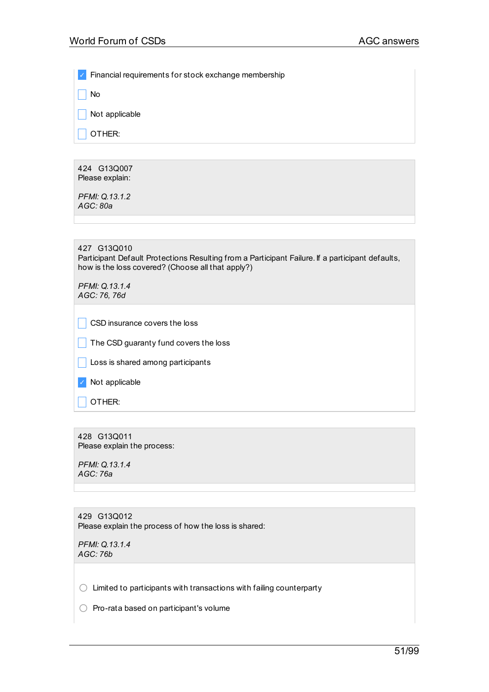✓ Financial requirements for stock exchange membership

 $\Box$  No

 $\Box$  Not applicable

 $\Box$  Other:

424 G13Q007 Please explain:

*PFMI: Q.13.1.2 AGC: 80a*

| 427 G13Q010                                                                                      |
|--------------------------------------------------------------------------------------------------|
| Participant Default Protections Resulting from a Participant Failure. If a participant defaults, |
| how is the loss covered? (Choose all that apply?)                                                |

*PFMI: Q.13.1.4 AGC: 76, 76d*

| CSD insurance covers the loss |
|-------------------------------|
|-------------------------------|

 $\vert \vert$  The CSD guaranty fund covers the loss

 $\Box$  Loss is shared among participants

✓ Not applicable

 $\Box$  Other:

428 G13Q011 Please explain the process:

*PFMI: Q.13.1.4 AGC: 76a*

429 G13Q012 Please explain the process of how the loss is shared:

*PFMI: Q.13.1.4 AGC: 76b*

 $\bigcirc$  Limited to participants with transactions with failing counterparty

 $\bigcirc$  Pro-rata based on participant's volume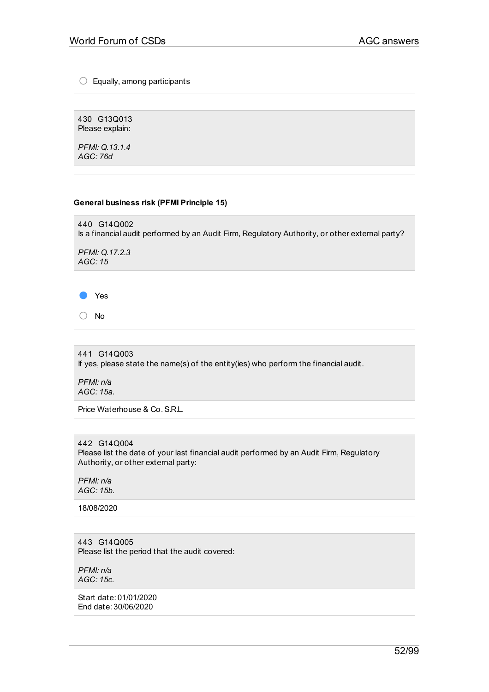$\bigcirc$  Equally, among participants

430 G13Q013 Please explain:

*PFMI: Q.13.1.4 AGC: 76d*

## **General business risk (PFMI Principle 15)**

440 G14Q002 Is a financial audit performed by an Audit Firm, Regulatory Authority, or other external party?

*PFMI: Q.17.2.3 AGC: 15*

● Yes

○ No

441 G14Q003 If yes, please state the name(s) of the entity(ies) who perform the financial audit.

*PFMI: n/a AGC: 15a.*

Price Waterhouse & Co.S.R.L.

442 G14Q004 Please list the date of your last financial audit performed by an Audit Firm, Regulatory Authority, or other external party:

*PFMI: n/a AGC: 15b.*

18/08/2020

443 G14Q005 Please list the period that the audit covered:

*PFMI: n/a AGC: 15c.*

Start date: 01/01/2020 End date: 30/06/2020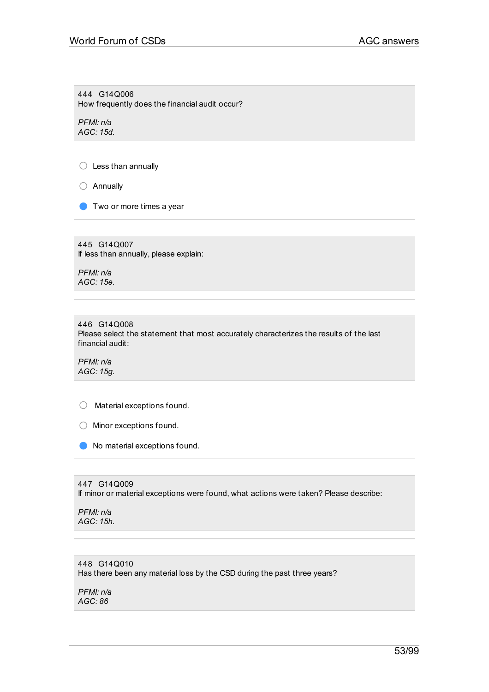444 G14Q006 How frequently does the financial audit occur?

*PFMI: n/a AGC: 15d.*

 $\bigcirc$  Less than annually

○ Annually

**O** Two or more times a year

445 G14Q007 If less than annually, please explain:

*PFMI: n/a AGC: 15e.*

446 G14Q008 Please select the statement that most accurately characterizes the results of the last financial audit:

*PFMI: n/a AGC: 15g.*

○ Material exceptions found.

○ Minor exceptions found.

● No material exceptions found.

447 G14Q009

If minor or material exceptions were found, what actions were taken? Please describe:

*PFMI: n/a AGC: 15h.*

## 448 G14Q010

Has there been any material loss by the CSD during the past three years?

*PFMI: n/a AGC: 86*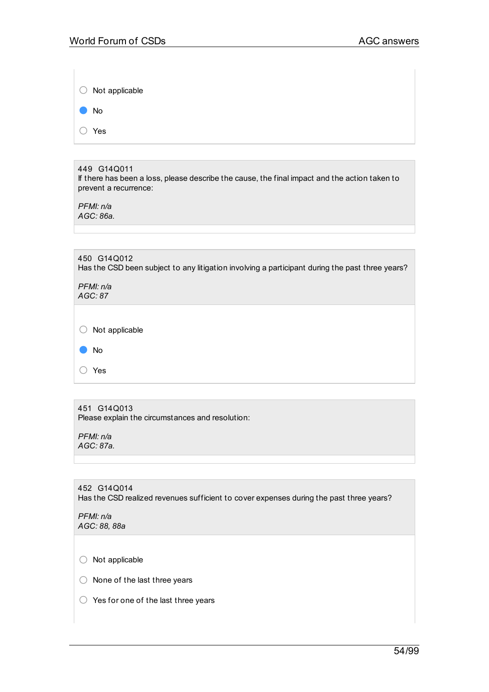|     | $\circ$ Not applicable |  |
|-----|------------------------|--|
| r i | No                     |  |
| └   | Yes                    |  |

## 449 G14Q011

If there has been a loss, please describe the cause, the final impact and the action taken to prevent a recurrence:

*PFMI: n/a AGC: 86a.*

| 450 G14Q012<br>Has the CSD been subject to any litigation involving a participant during the past three years? |
|----------------------------------------------------------------------------------------------------------------|
| PFMI: n/a<br>AGC: 87                                                                                           |
|                                                                                                                |
| Not applicable                                                                                                 |
| <b>No</b>                                                                                                      |
| Yes                                                                                                            |

| 451 G14Q013 |                                                  |  |  |
|-------------|--------------------------------------------------|--|--|
|             | Please explain the circumstances and resolution: |  |  |

*PFMI: n/a AGC: 87a.*

452 G14Q014 Has the CSD realized revenues sufficient to cover expenses during the past three years?

*PFMI: n/a AGC: 88, 88a*

○ Not applicable

- None of the last three years
- Yes for one of the last three years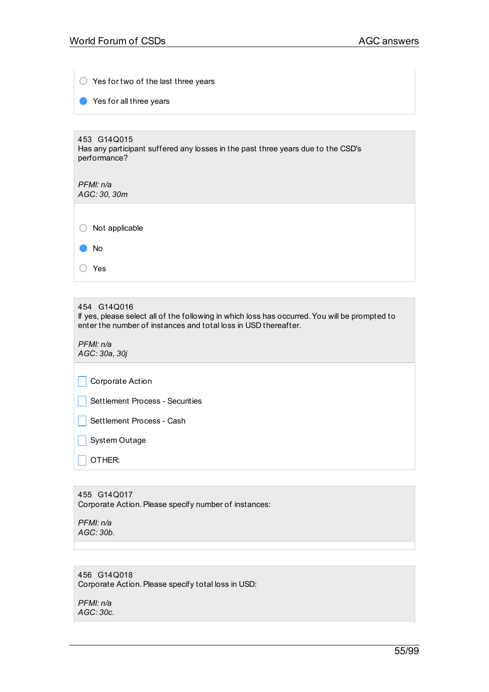| $\bigcirc$ Yes for two of the last three years                                                                                                                                   |
|----------------------------------------------------------------------------------------------------------------------------------------------------------------------------------|
| Yes for all three years                                                                                                                                                          |
|                                                                                                                                                                                  |
| 453 G14Q015<br>Has any participant suffered any losses in the past three years due to the CSD's<br>performance?                                                                  |
| PFMI: n/a<br>AGC: 30, 30m                                                                                                                                                        |
|                                                                                                                                                                                  |
| Not applicable                                                                                                                                                                   |
| No                                                                                                                                                                               |
| Yes                                                                                                                                                                              |
|                                                                                                                                                                                  |
| 454 G14Q016<br>If yes, please select all of the following in which loss has occurred. You will be prompted to<br>enter the number of instances and total loss in USD thereafter. |
| PFMI: n/a<br>AGC: 30a, 30j                                                                                                                                                       |
| Corporate Action                                                                                                                                                                 |
| Settlement Process - Securities                                                                                                                                                  |
| Settlement Process - Cash                                                                                                                                                        |
| System Outage                                                                                                                                                                    |
| OTHER:                                                                                                                                                                           |
|                                                                                                                                                                                  |

455 G14Q017 Corporate Action. Please specify number of instances:

*PFMI: n/a AGC: 30b.*

## 456 G14Q018 Corporate Action. Please specify total loss in USD:

*PFMI: n/a AGC: 30c.*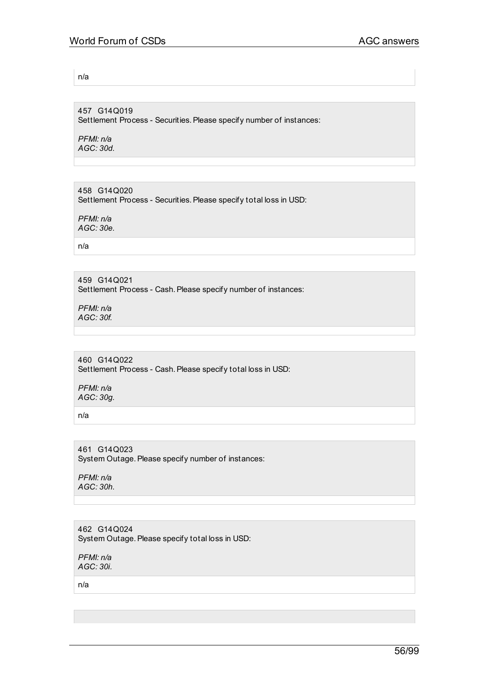n/a

457 G14Q019 Settlement Process - Securities. Please specify number of instances:

*PFMI: n/a AGC: 30d.*

458 G14Q020 Settlement Process - Securities. Please specify total loss in USD:

*PFMI: n/a AGC: 30e.*

n/a

459 G14Q021 Settlement Process - Cash. Please specify number of instances:

*PFMI: n/a AGC: 30f.*

460 G14Q022 Settlement Process - Cash. Please specify total loss in USD:

*PFMI: n/a AGC: 30g.*

n/a

461 G14Q023 System Outage. Please specify number of instances:

*PFMI: n/a AGC: 30h.*

462 G14Q024 System Outage. Please specify total loss in USD:

*PFMI: n/a AGC: 30i.*

n/a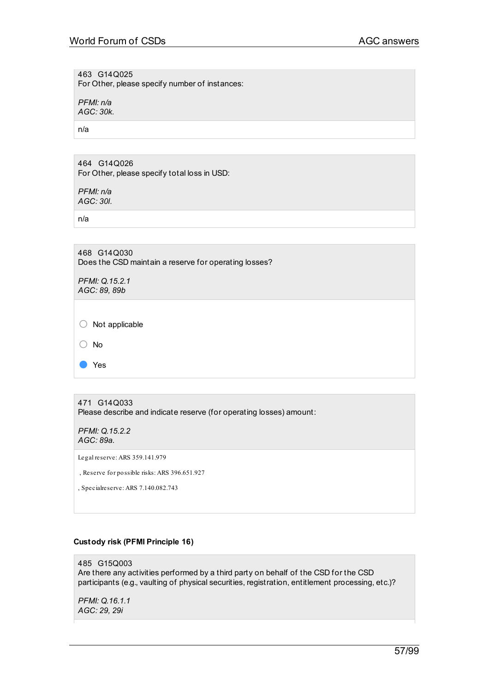463 G14Q025 For Other, please specify number of instances:

*PFMI: n/a AGC: 30k.*

n/a

464 G14Q026 For Other, please specify total loss in USD:

*PFMI: n/a AGC: 30l.*

n/a

468 G14Q030 Does the CSD maintain a reserve for operating losses?

*PFMI: Q.15.2.1 AGC: 89, 89b*

○ Not applicable

○ No

● Yes

471 G14Q033 Please describe and indicate reserve (for operating losses) amount:

*PFMI: Q.15.2.2 AGC: 89a.*

Legal reserve: ARS 359.141.979

, Reserve for possible risks: ARS 396.651.927

, Specialreserve: ARS 7.140.082.743

## **Custody risk (PFMI Principle 16)**

485 G15Q003 Are there any activities performed by a third party on behalf of the CSD for the CSD participants (e.g., vaulting of physical securities, registration, entitlement processing, etc.)?

*PFMI: Q.16.1.1 AGC: 29, 29i*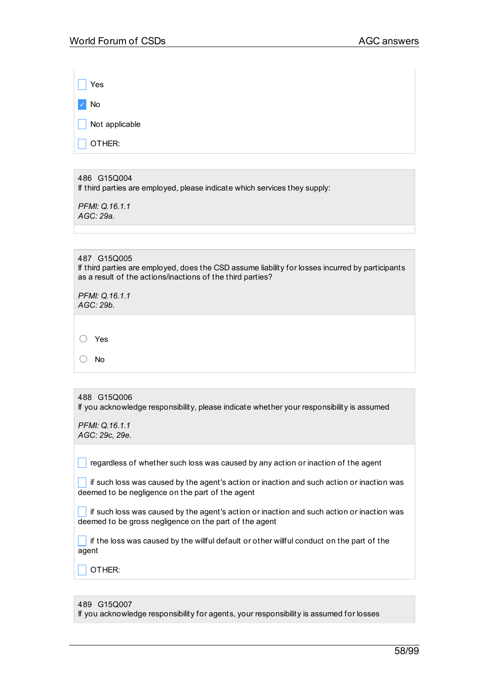\_ Yes ✓ No  $\Box$  Not applicable

 $\Box$  Other:

## 486 G15Q004

If third parties are employed, please indicate which services they supply:

*PFMI: Q.16.1.1 AGC: 29a.*

## 487 G15Q005

If third parties are employed, does the CSD assume liability for losses incurred by participants as a result of the actions/inactions of the third parties?

*PFMI: Q.16.1.1 AGC: 29b.*

○ Yes

○ No

| 488 G15Q006<br>If you acknowledge responsibility, please indicate whether your responsibility is assumed                                            |
|-----------------------------------------------------------------------------------------------------------------------------------------------------|
| PFMI: Q.16.1.1<br>AGC: 29c, 29e.                                                                                                                    |
|                                                                                                                                                     |
| regardless of whether such loss was caused by any action or inaction of the agent                                                                   |
| if such loss was caused by the agent's action or inaction and such action or inaction was<br>deemed to be negligence on the part of the agent       |
| if such loss was caused by the agent's action or inaction and such action or inaction was<br>deemed to be gross negligence on the part of the agent |
| if the loss was caused by the willful default or other willful conduct on the part of the<br>agent                                                  |

 $\Box$  Other:

#### 489 G15Q007

If you acknowledge responsibility for agents, your responsibility is assumed for losses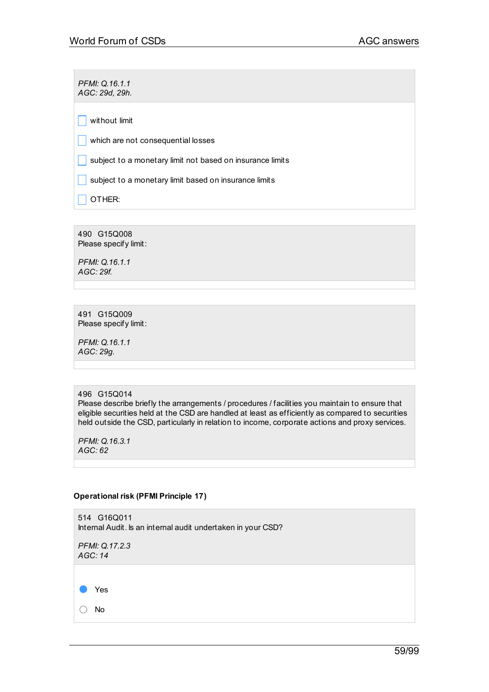*PFMI: Q.16.1.1 AGC: 29d, 29h.*

 $\Box$  without limit

 $\Box$  which are not consequential losses

 $\Box$  subject to a monetary limit not based on insurance limits

 $\Box$  subject to a monetary limit based on insurance limits

 $\vert$  OTHER:

490 G15Q008 Please specify limit:

*PFMI: Q.16.1.1 AGC: 29f.*

491 G15Q009 Please specify limit:

*PFMI: Q.16.1.1 AGC: 29g.*

#### 496 G15Q014

Please describe briefly the arrangements / procedures / facilities you maintain to ensure that eligible securities held at the CSD are handled at least as efficiently as compared to securities held outside the CSD, particularly in relation to income, corporate actions and proxy services.

*PFMI: Q.16.3.1 AGC: 62*

#### **Operational risk (PFMI Principle 17)**

514 G16Q011 Internal Audit. Is an internal audit undertaken in your CSD? *PFMI: Q.17.2.3 AGC: 14* ● Yes ○ No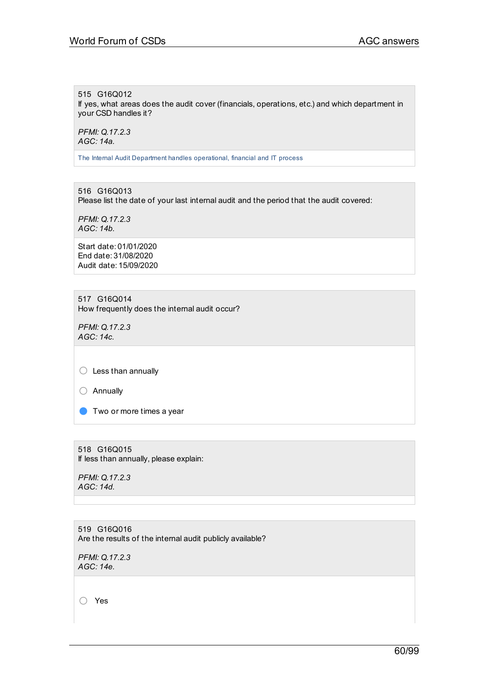## 515 G16Q012

If yes, what areas does the audit cover (financials, operations, etc.) and which department in your CSD handles it?

*PFMI: Q.17.2.3 AGC: 14a.*

The Internal Audit Department handles operational, financial and IT process

516 G16Q013 Please list the date of your last internal audit and the period that the audit covered:

*PFMI: Q.17.2.3 AGC: 14b.*

Start date: 01/01/2020 End date: 31/08/2020 Audit date: 15/09/2020

517 G16Q014 How frequently does the internal audit occur?

*PFMI: Q.17.2.3 AGC: 14c.*

 $\bigcirc$  Less than annually

○ Annually

**O** Two or more times a year

518 G16Q015 If less than annually, please explain:

*PFMI: Q.17.2.3 AGC: 14d.*

519 G16Q016 Are the results of the internal audit publicly available?

*PFMI: Q.17.2.3 AGC: 14e.*

○ Yes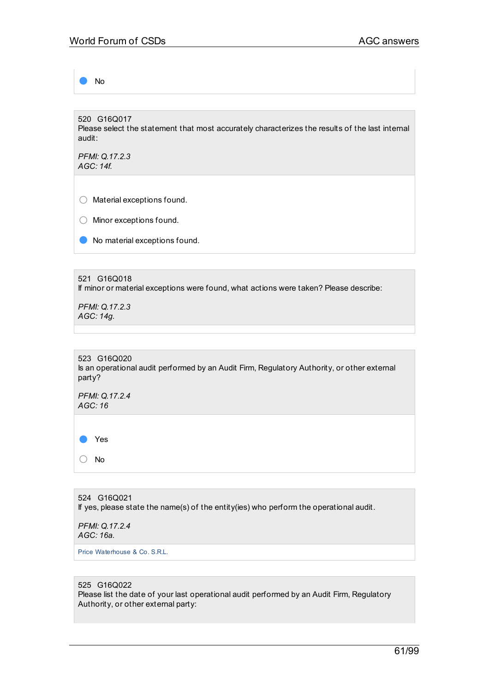● No

520 G16Q017 Please select the statement that most accurately characterizes the results of the last internal audit:

*PFMI: Q.17.2.3 AGC: 14f.*

○ Material exceptions found.

○ Minor exceptions found.

● No material exceptions found.

521 G16Q018 If minor or material exceptions were found, what actions were taken? Please describe:

*PFMI: Q.17.2.3 AGC: 14g.*

523 G16Q020 Is an operational audit performed by an Audit Firm, Regulatory Authority, or other external party?

*PFMI: Q.17.2.4 AGC: 16*

● Yes

○ No

524 G16Q021 If yes, please state the name(s) of the entity(ies) who perform the operational audit.

*PFMI: Q.17.2.4 AGC: 16a.*

Price Waterhouse & Co. S.R.L.

## 525 G16Q022

Please list the date of your last operational audit performed by an Audit Firm, Regulatory Authority, or other external party: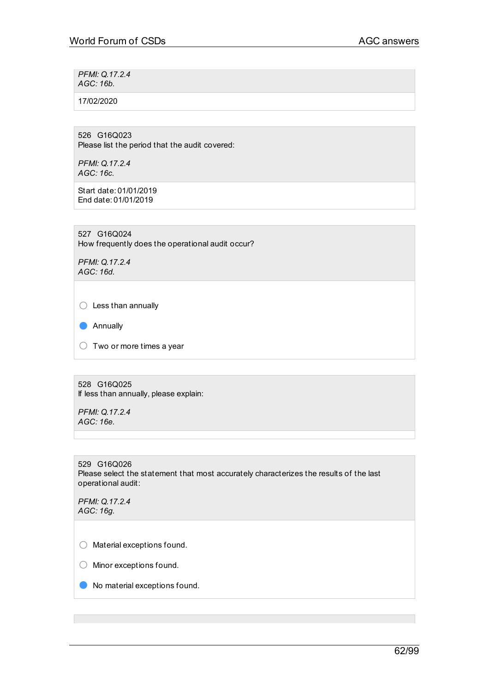*PFMI: Q.17.2.4 AGC: 16b.*

17/02/2020

526 G16Q023 Please list the period that the audit covered:

*PFMI: Q.17.2.4 AGC: 16c.*

Start date: 01/01/2019 End date: 01/01/2019

527 G16Q024 How frequently does the operational audit occur?

*PFMI: Q.17.2.4 AGC: 16d.*

 $\bigcirc$  Less than annually

● Annually

 $\bigcirc$  Two or more times a year

528 G16Q025 If less than annually, please explain:

*PFMI: Q.17.2.4 AGC: 16e.*

529 G16Q026 Please select the statement that most accurately characterizes the results of the last operational audit:

*PFMI: Q.17.2.4 AGC: 16g.*

○ Material exceptions found.

○ Minor exceptions found.

● No material exceptions found.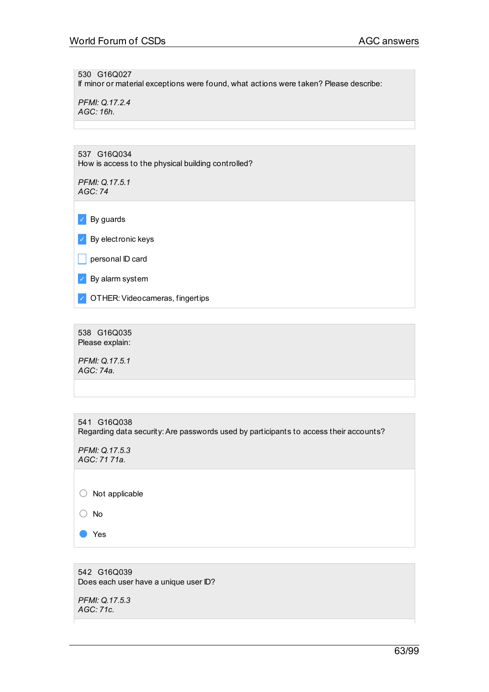530 G16Q027 If minor or material exceptions were found, what actions were taken? Please describe:

*PFMI: Q.17.2.4 AGC: 16h.*

537 G16Q034 How is access to the physical building controlled?

*PFMI: Q.17.5.1 AGC: 74*

 $\triangleright$  By guards

✓ By electronic keys

 $\Box$  personal ID card

✓ By alarm system

✓ OTHER:Videocameras, fingertips

538 G16Q035 Please explain:

*PFMI: Q.17.5.1 AGC: 74a.*

| 541<br>G16Q038<br>Regarding data security: Are passwords used by participants to access their accounts? |
|---------------------------------------------------------------------------------------------------------|
| PFMI: Q.17.5.3<br>AGC: 71 71a.                                                                          |
|                                                                                                         |
| Not applicable                                                                                          |
| No                                                                                                      |

● Yes

542 G16Q039 Does each user have a unique user ID?

*PFMI: Q.17.5.3 AGC: 71c.*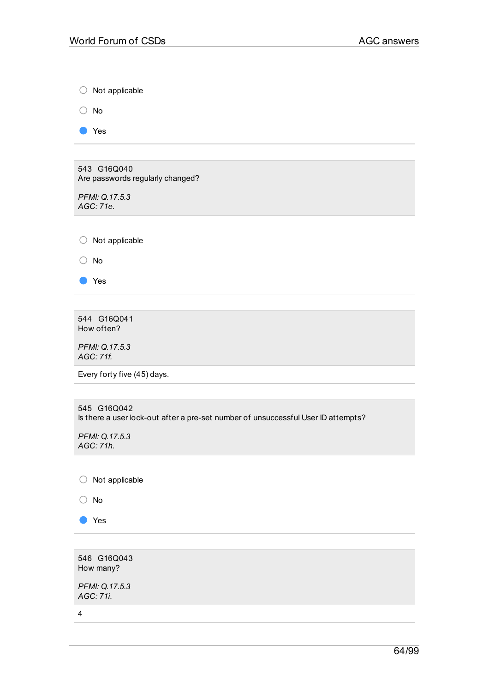| Not applicable                                  |
|-------------------------------------------------|
| No                                              |
| Yes                                             |
|                                                 |
| 543 G16Q040<br>Are passwords regularly changed? |

*PFMI: Q.17.5.3 AGC: 71e.*

○ Not applicable

○ No

● Yes

544 G16Q041 How often?

*PFMI: Q.17.5.3 AGC: 71f.*

Every forty five (45) days.

545 G16Q042 Is there a user lock-out after a pre-set number of unsuccessful User ID attempts?

*PFMI: Q.17.5.3 AGC: 71h.*

○ Not applicable

○ No

● Yes

546 G16Q043 How many?

*PFMI: Q.17.5.3 AGC: 71i.*

4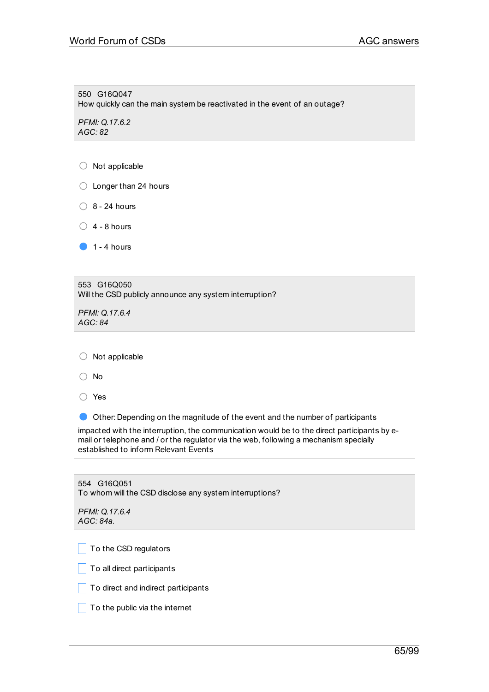550 G16Q047 How quickly can the main system be reactivated in the event of an outage?

*PFMI: Q.17.6.2 AGC: 82*

○ Not applicable

○ Longer than 24 hours

 $\bigcirc$  8 - 24 hours

 $\bigcirc$  4 - 8 hours

 $\bullet$  1 - 4 hours

553 G16Q050 Will the CSD publicly announce any system interruption?

*PFMI: Q.17.6.4 AGC: 84*

 $\bigcirc$  Not applicable

○ No

○ Yes

● Other: Depending on the magnitude of the event and the number of participants

impacted with the interruption, the communication would be to the direct participants by email or telephone and / or the regulator via the web, following a mechanism specially established to inform Relevant Events

| 554 G16Q051<br>To whom will the CSD disclose any system interruptions? |
|------------------------------------------------------------------------|
| PFMI: Q.17.6.4<br>AGC: 84a                                             |
|                                                                        |
| To the CSD regulators                                                  |
| To all direct participants                                             |
| To direct and indirect participants                                    |
| To the public via the internet                                         |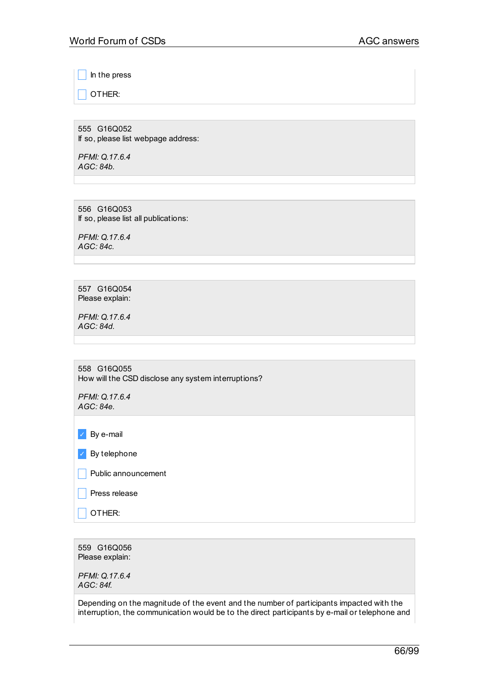\_ In the press

 $\overline{\phantom{a}}$  OTHER:

555 G16Q052 If so, please list webpage address:

*PFMI: Q.17.6.4 AGC: 84b.*

556 G16Q053 If so, please list all publications:

*PFMI: Q.17.6.4 AGC: 84c.*

557 G16Q054 Please explain:

*PFMI: Q.17.6.4 AGC: 84d.*

| 558 G16Q055 |  |                                                     |
|-------------|--|-----------------------------------------------------|
|             |  | How will the CSD disclose any system interruptions? |

*PFMI: Q.17.6.4 AGC: 84e.*

✓ By e-mail

 $\triangleright$  By telephone

 $\Box$  Public announcement

 $\Box$  Press release

 $\Box$  OTHER:

559 G16Q056 Please explain:

*PFMI: Q.17.6.4 AGC: 84f.*

Depending on the magnitude of the event and the number of participants impacted with the interruption, the communication would be to the direct participants by e-mail or telephone and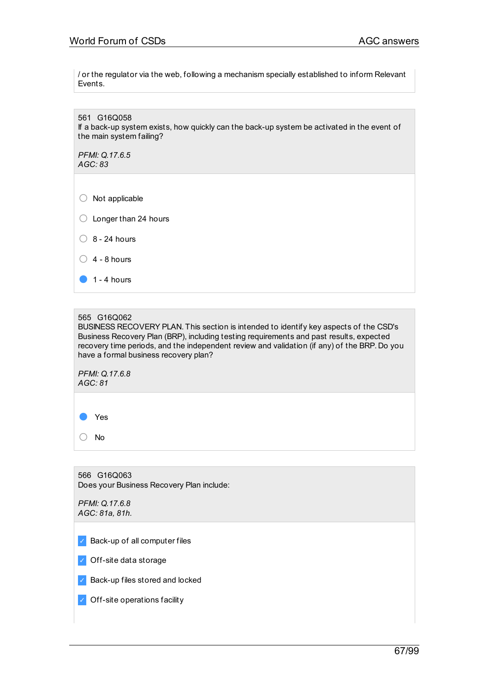/ or the regulator via the web, following a mechanism specially established to inform Relevant Events.

561 G16Q058 If a back-up system exists, how quickly can the back-up system be activated in the event of the main system failing? *PFMI: Q.17.6.5 AGC: 83*  $\bigcirc$  Not applicable  $\bigcirc$  Longer than 24 hours  $\bigcirc$  8 - 24 hours  $\bigcirc$  4 - 8 hours  $\bullet$  1 - 4 hours

#### 565 G16Q062

BUSINESS RECOVERY PLAN. This section is intended to identify key aspects of the CSD's Business Recovery Plan (BRP), including testing requirements and past results, expected recovery time periods, and the independent review and validation (if any) of the BRP. Do you have a formal business recovery plan?

*PFMI: Q.17.6.8 AGC: 81*

● Yes

○ No

566 G16Q063 Does your Business Recovery Plan include:

*PFMI: Q.17.6.8 AGC: 81a, 81h.*

 $\vee$  Back-up of all computer files

✓ Off-site data storage

✓ Back-up files stored and locked

✓ Off-site operations facility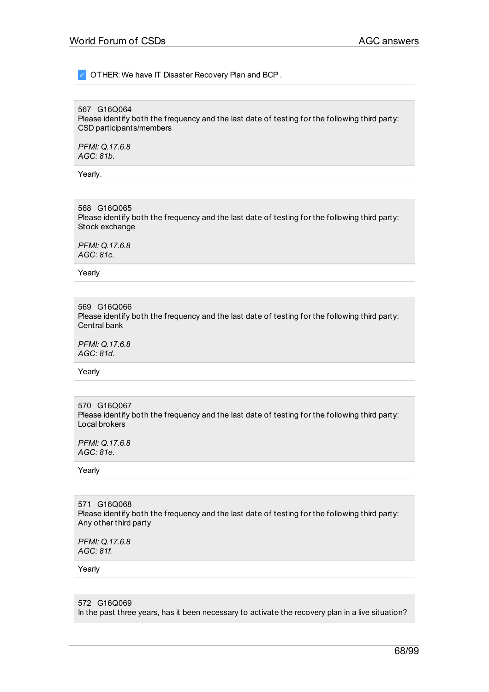OTHER: We have IT Disaster Recovery Plan and BCP.

## 567 G16Q064

Please identify both the frequency and the last date of testing for the following third party: CSD participants/members

*PFMI: Q.17.6.8 AGC: 81b.*

Yearly.

568 G16Q065 Please identify both the frequency and the last date of testing for the following third party: Stock exchange

*PFMI: Q.17.6.8 AGC: 81c.*

Yearly

569 G16Q066 Please identify both the frequency and the last date of testing for the following third party: Central bank

*PFMI: Q.17.6.8 AGC: 81d.*

Yearly

570 G16Q067 Please identify both the frequency and the last date of testing for the following third party: Local brokers

*PFMI: Q.17.6.8 AGC: 81e.*

Yearly

571 G16Q068 Please identify both the frequency and the last date of testing for the following third party: Any other third party

*PFMI: Q.17.6.8 AGC: 81f.*

Yearly

572 G16Q069 In the past three years, has it been necessary to activate the recovery plan in a live situation?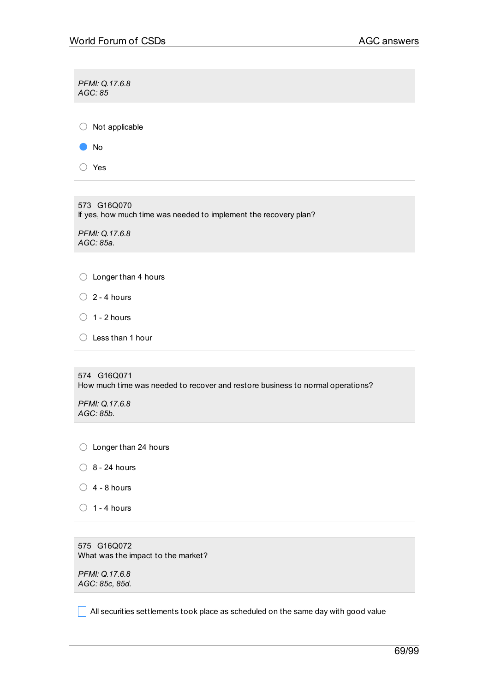| PFMI: Q.17.6.8<br>AGC: 85    |  |
|------------------------------|--|
| Not applicable<br>$\bigcirc$ |  |
| No                           |  |
| Yes                          |  |
|                              |  |

573 G16Q070 If yes, how much time was needed to implement the recovery plan?

*PFMI: Q.17.6.8 AGC: 85a.*

 $\bigcirc$  Longer than 4 hours

 $\bigcirc$  2 - 4 hours

- $\bigcirc$  1 2 hours
- Less than 1 hour

574 G16Q071 How much time was needed to recover and restore business to normal operations?

*PFMI: Q.17.6.8 AGC: 85b.*

○ Longer than 24 hours

 $\bigcirc$  8 - 24 hours

- $\bigcirc$  4 8 hours
- $\bigcirc$  1 4 hours

575 G16Q072 What was the impact to the market?

*PFMI: Q.17.6.8 AGC: 85c, 85d.*

 $\Box$  All securities settlements took place as scheduled on the same day with good value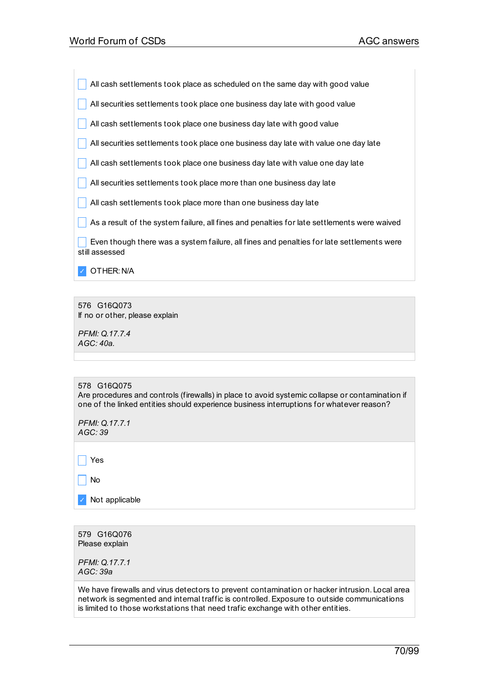All cash settlements took place as scheduled on the same day with good value

 $\Box$  All securities settlements took place one business day late with good value

All cash settlements took place one business day late with good value

All securities settlements took place one business day late with value one day late

 $\Box$  All cash settlements took place one business day late with value one day late

 $\Box$  All securities settlements took place more than one business day late

 $\Box$  All cash settlements took place more than one business day late

 $\Box$  As a result of the system failure, all fines and penalties for late settlements were waived

 $\blacksquare$  Even though there was a system failure, all fines and penalties for late settlements were still assessed

✓ OTHER: N/A

576 G16Q073 If no or other, please explain

*PFMI: Q.17.7.4 AGC: 40a.*

578 G16Q075 Are procedures and controls (firewalls) in place to avoid systemic collapse or contamination if one of the linked entities should experience business interruptions for whatever reason?

*PFMI: Q.17.7.1 AGC: 39*

 $\Box$  Yes

 $\overline{\phantom{a}}$  No

✓ Not applicable

579 G16Q076 Please explain

*PFMI: Q.17.7.1 AGC: 39a*

We have firewalls and virus detectors to prevent contamination or hacker intrusion. Local area network is segmented and internal traffic is controlled.Exposure to outside communications is limited to those workstations that need trafic exchange with other entities.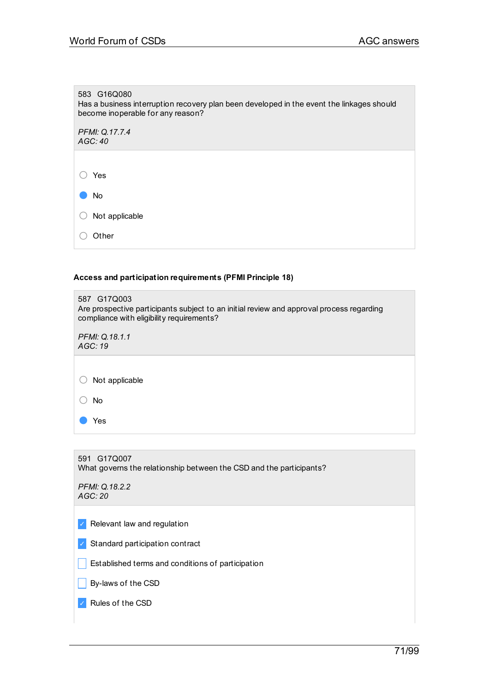# 583 G16Q080 Has a business interruption recovery plan been developed in the event the linkages should become inoperable for any reason? *PFMI: Q.17.7.4 AGC: 40* ○ Yes

| -07        | No                        |
|------------|---------------------------|
|            | $\bigcirc$ Not applicable |
| $\bigcirc$ | Other                     |

## **Access and participation requirements (PFMI Principle 18)**

| 587 G17Q003<br>Are prospective participants subject to an initial review and approval process regarding<br>compliance with eligibility requirements? |
|------------------------------------------------------------------------------------------------------------------------------------------------------|
| PFMI: Q.18.1.1<br>AGC: 19                                                                                                                            |
|                                                                                                                                                      |
| Not applicable                                                                                                                                       |
| No                                                                                                                                                   |
| Yes                                                                                                                                                  |
|                                                                                                                                                      |
| 591 G17Q007<br>What governs the relationship between the CSD and the participants?                                                                   |
| PFMI: Q.18.2.2<br>AGC:20                                                                                                                             |
| Relevant law and regulation                                                                                                                          |

✓ Standard participation contract

 $\Box$  Established terms and conditions of participation

 $\Box$  By-laws of the CSD

✓ Rules of the CSD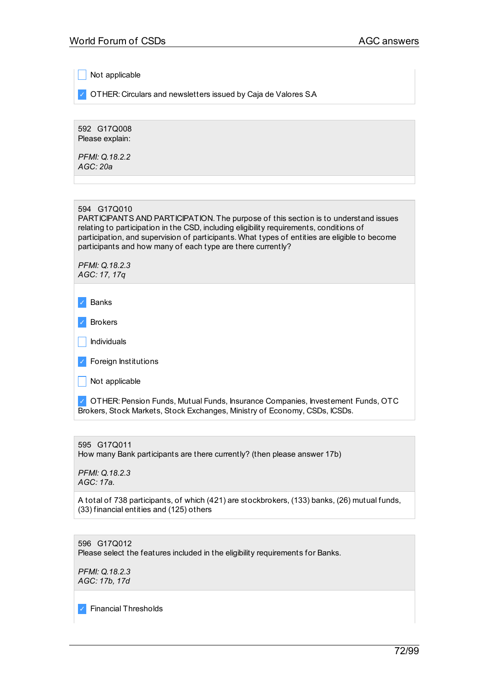Not applicable

✓ OTHER: Circulars and newsletters issued by Caja de Valores S.A

592 G17Q008 Please explain:

*PFMI: Q.18.2.2 AGC: 20a*

PARTICIPANTS AND PARTICIPATION. The purpose of this section is to understand issues relating to participation in the CSD, including eligibility requirements, conditions of participation, and supervision of participants. What types of entities are eligible to become participants and how many of each type are there currently?

*PFMI: Q.18.2.3 AGC: 17, 17q*

- ✓ Banks
- ✓ Brokers
- $\Box$  Individuals
- ✓ Foreign Institutions
- $\Box$  Not applicable

✓ OTHER:Pension Funds, Mutual Funds, Insurance Companies, Investement Funds, OTC Brokers, Stock Markets, Stock Exchanges, Ministry of Economy, CSDs, ICSDs.

595 G17Q011 How many Bank participants are there currently? (then please answer 17b)

*PFMI: Q.18.2.3 AGC: 17a.*

A total of 738 participants, of which (421) are stockbrokers, (133) banks, (26) mutual funds, (33) financial entities and (125) others

596 G17Q012 Please select the features included in the eligibility requirements for Banks.

*PFMI: Q.18.2.3 AGC: 17b, 17d*

✓ Financial Thresholds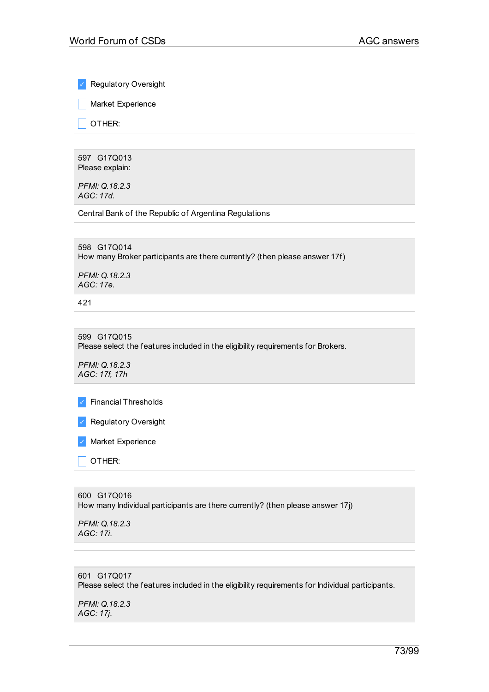✓ Regulatory Oversight

**Narket Experience** 

 $\overline{\phantom{a}}$  other:

597 G17Q013 Please explain:

*PFMI: Q.18.2.3 AGC: 17d.*

Central Bank of the Republic of Argentina Regulations

598 G17Q014 How many Broker participants are there currently? (then please answer 17f)

*PFMI: Q.18.2.3 AGC: 17e.*

421

599 G17Q015 Please select the features included in the eligibility requirements for Brokers.

*PFMI: Q.18.2.3 AGC: 17f, 17h*

✓ Financial Thresholds

✓ Regulatory Oversight

✓ Market Experience

 $\overline{\phantom{a}}$  OTHER:

600 G17Q016 How many Individual participants are there currently? (then please answer 17j)

*PFMI: Q.18.2.3 AGC: 17i.*

# 601 G17Q017 Please select the features included in the eligibility requirements for Individual participants.

*PFMI: Q.18.2.3 AGC: 17j.*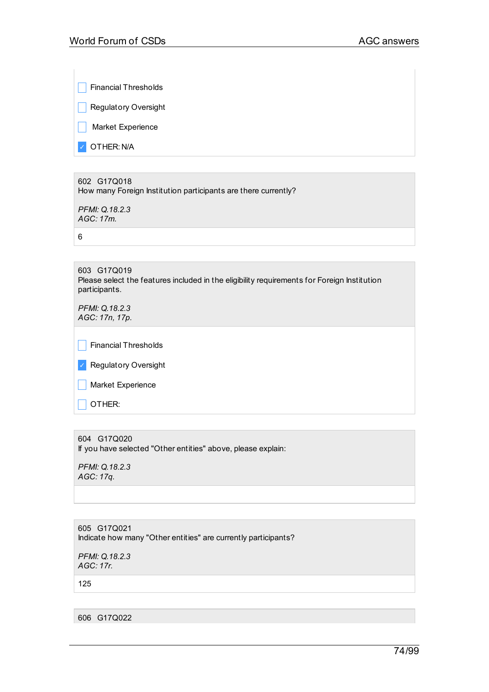$\Box$  Financial Thresholds

**Regulatory Oversight** 

**Narket Experience** 

✓ OTHER: N/A

602 G17Q018 How many Foreign Institution participants are there currently?

*PFMI: Q.18.2.3 AGC: 17m.*

6

603 G17Q019 Please select the features included in the eligibility requirements for Foreign Institution participants.

*PFMI: Q.18.2.3 AGC: 17n, 17p.*

 $\vert \vert$  Financial Thresholds

✓ Regulatory Oversight

**Narket Experience** 

OTHER:

## 604 G17Q020

If you have selected "Other entities" above, please explain:

*PFMI: Q.18.2.3 AGC: 17q.*

605 G17Q021 Indicate how many "Other entities" are currently participants?

*PFMI: Q.18.2.3 AGC: 17r.*

125

606 G17Q022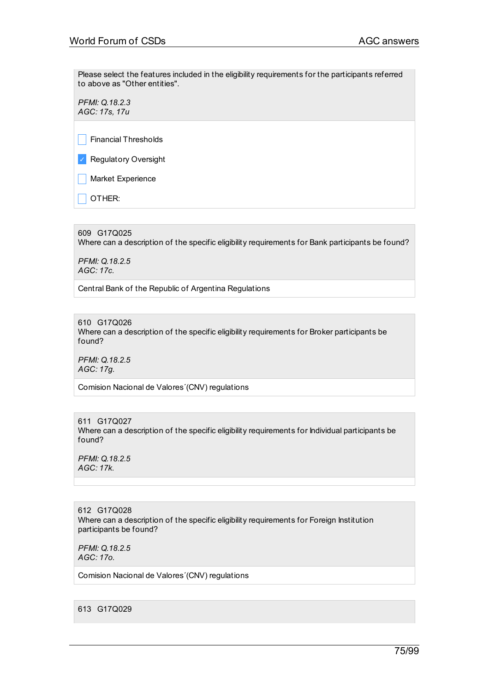Please select the features included in the eligibility requirements for the participants referred to above as "Other entities".

*PFMI: Q.18.2.3 AGC: 17s, 17u*

 $\Box$  Financial Thresholds

✓ Regulatory Oversight

**Narket Experience** 

 $\overline{\phantom{a}}$  OTHER:

609 G17Q025 Where can a description of the specific eligibility requirements for Bank participants be found?

*PFMI: Q.18.2.5 AGC: 17c.*

Central Bank of the Republic of Argentina Regulations

610 G17Q026 Where can a description of the specific eligibility requirements for Broker participants be found?

*PFMI: Q.18.2.5 AGC: 17g.*

Comision Nacional de Valores´(CNV) regulations

611 G17Q027 Where can a description of the specific eligibility requirements for Individual participants be found?

*PFMI: Q.18.2.5 AGC: 17k.*

612 G17Q028 Where can a description of the specific eligibility requirements for Foreign Institution participants be found?

*PFMI: Q.18.2.5 AGC: 17o.*

Comision Nacional de Valores´(CNV) regulations

613 G17Q029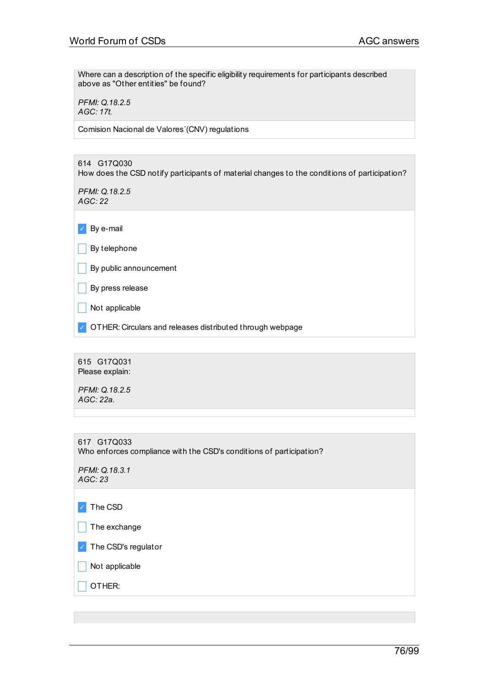Where can a description of the specific eligibility requirements for participants described above as "Other entities" be found?

*PFMI: Q.18.2.5 AGC: 17t.*

Comision Nacional de Valores´(CNV) regulations

614 G17Q030 How does the CSD notify participants of material changes to the conditions of participation? *PFMI: Q.18.2.5 AGC: 22* ✓ By e-mail  $\Box$  By telephone  $\Box$  By public announcement  $\Box$  By press release  $\Box$  Not applicable ✓ OTHER: Circulars and releases distributed through webpage

615 G17Q031 Please explain: *PFMI: Q.18.2.5 AGC: 22a.*

617 G17Q033 Who enforces compliance with the CSD's conditions of participation? *PFMI: Q.18.3.1 AGC: 23* ✓ The CSD  $\vert \vert$  The exchange ✓ The CSD's regulator

 $\Box$  Not applicable

 $\overline{\phantom{a}}$  OTHER: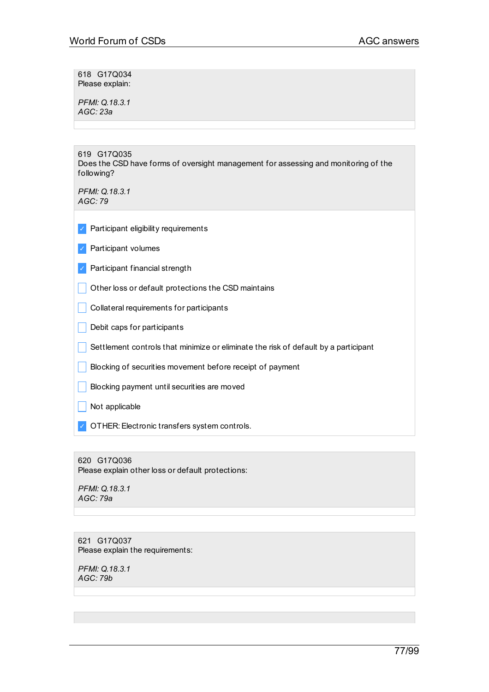618 G17Q034 Please explain:

*PFMI: Q.18.3.1 AGC: 23a*

619 G17Q035 Does the CSD have forms of oversight management for assessing and monitoring of the following?

*PFMI: Q.18.3.1 AGC: 79*

- ✓ Participant eligibility requirements
- ✓ Participant volumes
- ✓ Participant financial strength
- $\Box$  Other loss or default protections the CSD maintains
- **Collateral requirements for participants**
- $\Box$  Debit caps for participants
- $\Box$  Settlement controls that minimize or eliminate the risk of default by a participant
- **Blocking of securities movement before receipt of payment**
- **Blocking payment until securities are moved**

 $\Box$  Not applicable

✓ OTHER:Electronic transfers system controls.

620 G17Q036 Please explain other loss or default protections:

*PFMI: Q.18.3.1 AGC: 79a*

621 G17Q037 Please explain the requirements:

*PFMI: Q.18.3.1 AGC: 79b*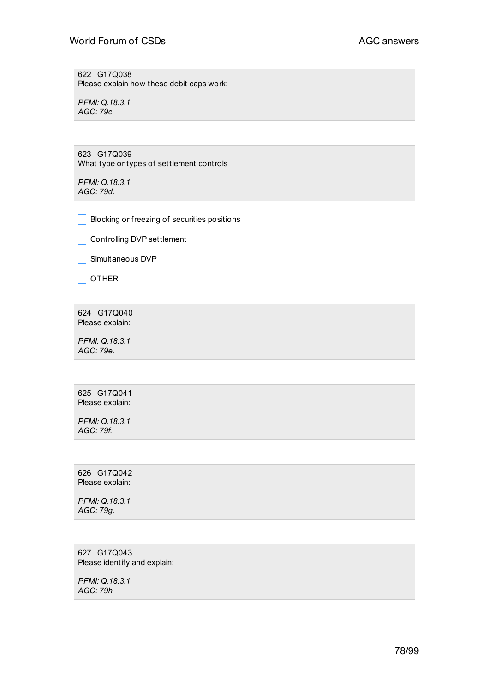622 G17Q038 Please explain how these debit caps work:

*PFMI: Q.18.3.1 AGC: 79c*

623 G17Q039 What type or types of settlement controls

*PFMI: Q.18.3.1 AGC: 79d.*

**Blocking or freezing of securities positions** 

**Controlling DVP settlement** 

 $\Box$  Simultaneous DVP

 $\Box$  OTHER:

624 G17Q040 Please explain:

*PFMI: Q.18.3.1 AGC: 79e.*

625 G17Q041 Please explain:

*PFMI: Q.18.3.1 AGC: 79f.*

626 G17Q042 Please explain:

*PFMI: Q.18.3.1 AGC: 79g.*

627 G17Q043 Please identify and explain:

*PFMI: Q.18.3.1 AGC: 79h*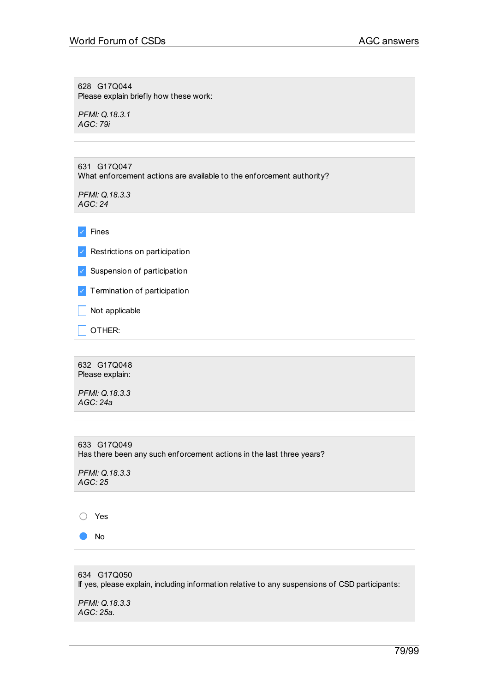628 G17Q044 Please explain briefly how these work:

*PFMI: Q.18.3.1 AGC: 79i*

| 631 G17Q047<br>What enforcement actions are available to the enforcement authority? |
|-------------------------------------------------------------------------------------|
| PFMI: Q.18.3.3<br>AGC: 24                                                           |
|                                                                                     |
| <b>Fines</b>                                                                        |
| Restrictions on participation<br>$\checkmark$                                       |
| Suspension of participation<br>$\checkmark$                                         |
| Termination of participation<br>$\checkmark$                                        |
| Not applicable                                                                      |
| OTHER:                                                                              |
|                                                                                     |

632 G17Q048 Please explain:

*PFMI: Q.18.3.3 AGC: 24a*

633 G17Q049 Has there been any such enforcement actions in the last three years?

*PFMI: Q.18.3.3 AGC: 25*

○ Yes

● No

634 G17Q050 If yes, please explain, including information relative to any suspensions of CSD participants: *PFMI: Q.18.3.3 AGC: 25a.*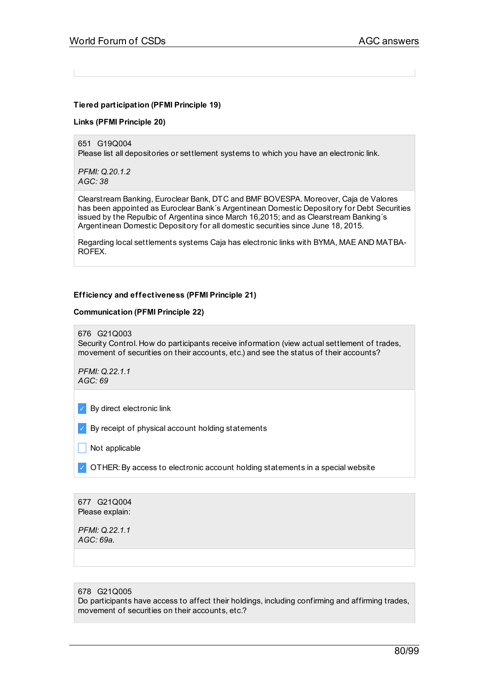## **Tiered participation (PFMI Principle 19)**

#### **Links (PFMI Principle 20)**

651 G19Q004 Please list all depositories or settlement systems to which you have an electronic link.

*PFMI: Q.20.1.2 AGC: 38*

Clearstream Banking, Euroclear Bank, DTC and BMF BOVESPA. Moreover, Caja de Valores has been appointed as Euroclear Bank´s Argentinean Domestic Depository for Debt Securities issued by the Repulbic of Argentina since March 16,2015; and as Clearstream Banking´s Argentinean Domestic Depository for all domestic securities since June 18, 2015.

Regarding local settlements systems Caja has electronic links with BYMA, MAE AND MATBA-ROFEX.

#### **Efficiency and effectiveness (PFMI Principle 21)**

#### **Communication (PFMI Principle 22)**

676 G21Q003

Security Control. How do participants receive information (view actual settlement of trades, movement of securities on their accounts, etc.) and see the status of their accounts?

*PFMI: Q.22.1.1 AGC: 69*

✓ By direct electronic link

✓ By receipt of physical account holding statements

 $\Box$  Not applicable

 $\vee$  OTHER: By access to electronic account holding statements in a special website

677 G21Q004 Please explain:

*PFMI: Q.22.1.1 AGC: 69a.*

#### 678 G21Q005

Do participants have access to affect their holdings, including confirming and affirming trades, movement of securities on their accounts, etc.?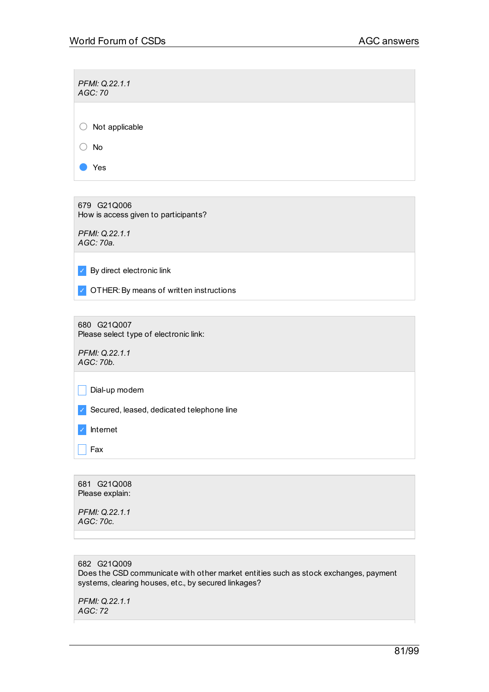*PFMI: Q.22.1.1 AGC: 70* ○ Not applicable ○ No ● Yes

679 G21Q006 How is access given to participants?

*PFMI: Q.22.1.1 AGC: 70a.*

 $\triangleright$  By direct electronic link

✓ OTHER:By means of written instructions

680 G21Q007 Please select type of electronic link:

*PFMI: Q.22.1.1 AGC: 70b.*

 $\vert \vert$  Dial-up modem

✓ Secured, leased, dedicated telephone line

✓ Internet

 $|$  Fax

681 G21Q008 Please explain:

*PFMI: Q.22.1.1 AGC: 70c.*

682 G21Q009 Does the CSD communicate with other market entities such as stock exchanges, payment systems, clearing houses, etc., by secured linkages?

*PFMI: Q.22.1.1 AGC: 72*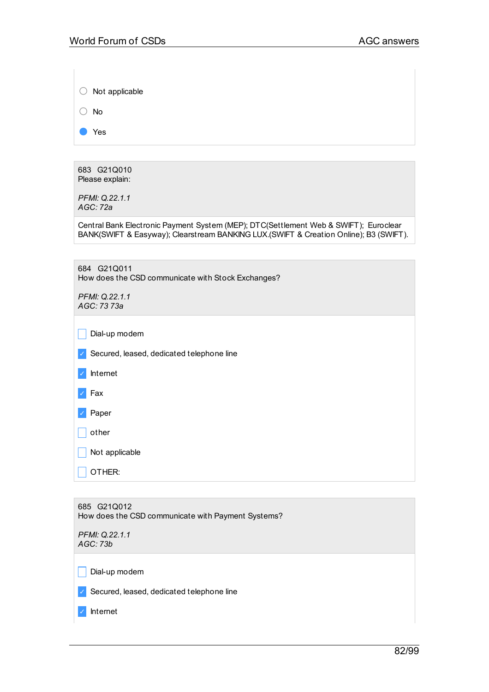| Not applicable                                                                                                                                                                |
|-------------------------------------------------------------------------------------------------------------------------------------------------------------------------------|
| No                                                                                                                                                                            |
| Yes                                                                                                                                                                           |
|                                                                                                                                                                               |
| 683 G21Q010<br>Please explain:                                                                                                                                                |
| PFMI: Q.22.1.1<br>AGC: 72a                                                                                                                                                    |
| Central Bank Electronic Payment System (MEP); DTC(Settlement Web & SWIFT); Euroclear<br>BANK(SWIFT & Easyway); Clearstream BANKING LUX.(SWIFT & Creation Online); B3 (SWIFT). |
|                                                                                                                                                                               |
| 684 G21Q011<br>How does the CSD communicate with Stock Exchanges?                                                                                                             |
| PFMI: Q.22.1.1<br>AGC: 73 73a                                                                                                                                                 |
| Dial-up modem                                                                                                                                                                 |
| Secured, leased, dedicated telephone line                                                                                                                                     |
| Internet                                                                                                                                                                      |
| Fax                                                                                                                                                                           |
| Paper                                                                                                                                                                         |
| other                                                                                                                                                                         |
| Not applicable                                                                                                                                                                |
| OTHER:                                                                                                                                                                        |
|                                                                                                                                                                               |
| 685 G21Q012<br>How does the CSD communicate with Payment Systems?                                                                                                             |
| PFMI: Q.22.1.1<br>AGC: 73b                                                                                                                                                    |
| Dial-up modem                                                                                                                                                                 |
| Secured, leased, dedicated telephone line                                                                                                                                     |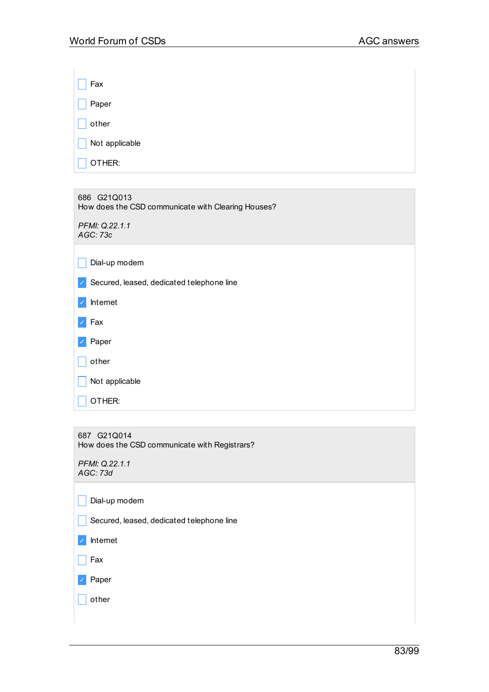$\mathbf{r}$ 

| Fax            |  |
|----------------|--|
| Paper          |  |
| other          |  |
| Not applicable |  |
| OTHER:         |  |
|                |  |

686 G21Q013 How does the CSD communicate with Clearing Houses? *PFMI: Q.22.1.1 AGC: 73c*  $\Box$  Dial-up modem ✓ Secured, leased, dedicated telephone line ✓ Internet ✓ Fax ✓ Paper

| other                  |  |  |
|------------------------|--|--|
| $\vert$ Not applicable |  |  |
| $\vert$ OTHER:         |  |  |
|                        |  |  |

687 G21Q014 How does the CSD communicate with Registrars?

*PFMI: Q.22.1.1 AGC: 73d*

 $\Box$  Dial-up modem

Secured, leased, dedicated telephone line

✓ Internet

 $\Box$  Fax

✓ Paper

 $\Box$  other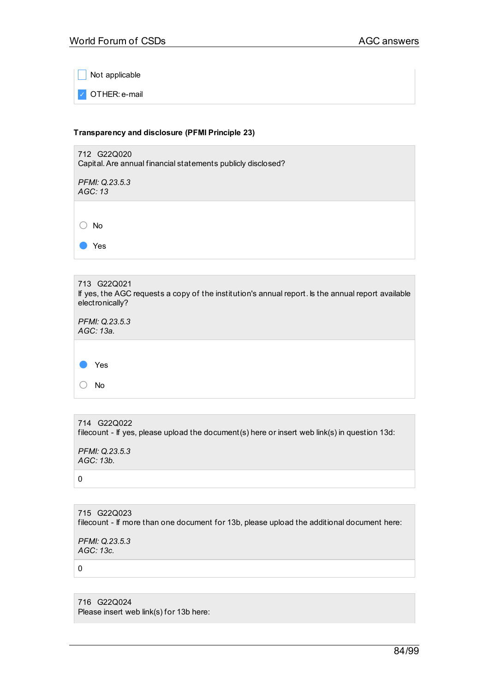$\sqrt{\phantom{a}}$  Not applicable

✓ OTHER: e-mail

## **Transparency and disclosure (PFMI Principle 23)**



| 713 G22Q021<br>If yes, the AGC requests a copy of the institution's annual report. Is the annual report available<br>electronically? |
|--------------------------------------------------------------------------------------------------------------------------------------|
| PFMI: Q.23.5.3<br>AGC: 13a.                                                                                                          |
|                                                                                                                                      |
| Yes                                                                                                                                  |
| No                                                                                                                                   |

```
714 G22Q022
filecount - If yes, please upload the document(s) here or insert web link(s) in question 13d:
PFMI: Q.23.5.3
AGC: 13b.
0
```
715 G22Q023 filecount - If more than one document for 13b, please upload the additional document here:

*PFMI: Q.23.5.3 AGC: 13c.*

0

716 G22Q024 Please insert web link(s) for 13b here: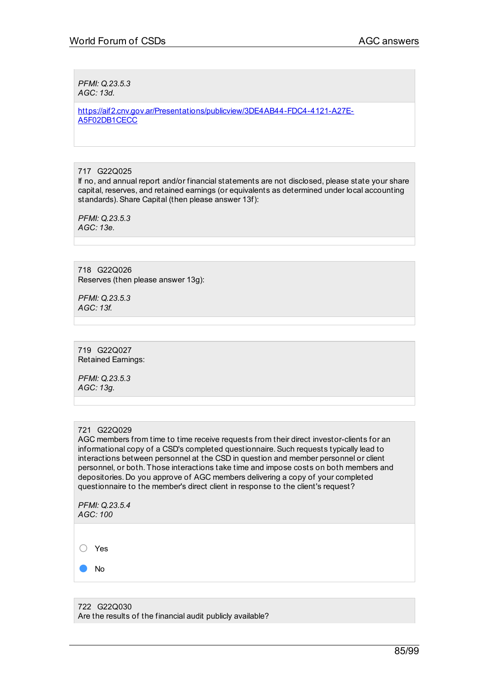*PFMI: Q.23.5.3 AGC: 13d.*

[https://aif2.cnv.gov.ar/Presentations/publicview/3DE4AB44-FDC4-4121-A27E-](https://aif2.cnv.gov.ar/Presentations/publicview/3DE4AB44-FDC4-4121-A27E-A5F02DB1CECC)A5F02DB1CECC

717 G22Q025

If no, and annual report and/or financial statements are not disclosed, please state your share capital, reserves, and retained earnings (or equivalents as determined under local accounting standards).Share Capital (then please answer 13f):

*PFMI: Q.23.5.3 AGC: 13e.*

718 G22Q026 Reserves (then please answer 13g):

*PFMI: Q.23.5.3 AGC: 13f.*

719 G22Q027 Retained Earnings:

*PFMI: Q.23.5.3 AGC: 13g.*

#### 721 G22Q029

AGC members from time to time receive requests from their direct investor-clients for an informational copy of a CSD's completed questionnaire.Such requests typically lead to interactions between personnel at the CSD in question and member personnel or client personnel, or both. Those interactions take time and impose costs on both members and depositories. Do you approve of AGC members delivering a copy of your completed questionnaire to the member's direct client in response to the client's request?

*PFMI: Q.23.5.4 AGC: 100*

○ Yes

● No

722 G22Q030 Are the results of the financial audit publicly available?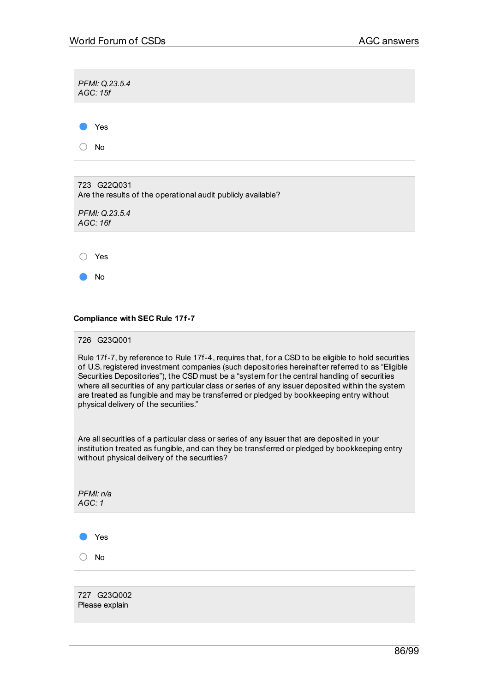| PFMI: Q.23.5.4<br>AGC: 15f                                                  |
|-----------------------------------------------------------------------------|
| Yes                                                                         |
| No                                                                          |
|                                                                             |
| 723 G22Q031<br>Are the results of the operational audit publicly available? |

| AGC: 16f | PFMI: Q.23.5.4 |
|----------|----------------|
|          | Yes            |
|          | No             |

## **Compliance with SEC Rule 17f-7**

### 726 G23Q001

Rule 17f-7, by reference to Rule 17f-4, requires that, for a CSD to be eligible to hold securities of U.S.registered investment companies (such depositories hereinafter referred to as "Eligible Securities Depositories"), the CSD must be a "system for the central handling of securities where all securities of any particular class or series of any issuer deposited within the system are treated as fungible and may be transferred or pledged by bookkeeping entry without physical delivery of the securities."

Are all securities of a particular class or series of any issuer that are deposited in your institution treated as fungible, and can they be transferred or pledged by bookkeeping entry without physical delivery of the securities?

| PFMI: n/a<br>AGC: 1 |  |  |  |
|---------------------|--|--|--|
| Yes                 |  |  |  |
| No                  |  |  |  |
|                     |  |  |  |

727 G23Q002 Please explain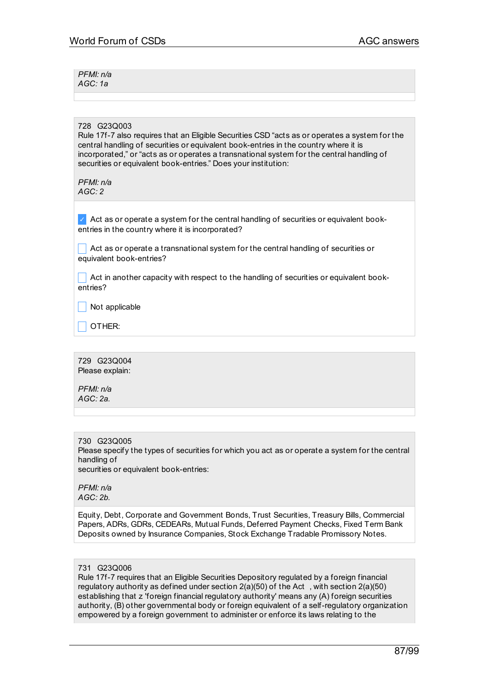*PFMI: n/a AGC: 1a*

#### 728 G23Q003

Rule 17f-7 also requires that an Eligible Securities CSD "acts as or operates a system for the central handling of securities or equivalent book-entries in the country where it is incorporated," or "acts as or operates a transnational system for the central handling of securities or equivalent book-entries." Does your institution:

*PFMI: n/a AGC: 2*

 $\vee$  Act as or operate a system for the central handling of securities or equivalent bookentries in the country where it is incorporated?

 $\Box$  Act as or operate a transnational system for the central handling of securities or equivalent book-entries?

 $\Box$  Act in another capacity with respect to the handling of securities or equivalent bookentries?

 $\blacksquare$  Not applicable

\_ OTHER:

729 G23Q004 Please explain:

*PFMI: n/a AGC: 2a.*

730 G23Q005 Please specify the types of securities for which you act as or operate a system for the central handling of securities or equivalent book-entries:

*PFMI: n/a AGC: 2b.*

Equity, Debt, Corporate and Government Bonds, Trust Securities, Treasury Bills, Commercial Papers, ADRs, GDRs, CEDEARs, Mutual Funds, Deferred Payment Checks, Fixed Term Bank Deposits owned by Insurance Companies, Stock Exchange Tradable Promissory Notes.

#### 731 G23Q006

Rule 17f-7 requires that an Eligible Securities Depository regulated by a foreign financial regulatory authority as defined under section 2(a)(50) of the Act , with section 2(a)(50) establishing that z 'foreign financial regulatory authority' means any (A) foreign securities authority, (B) other governmental body or foreign equivalent of a self-regulatory organization empowered by a foreign government to administer or enforce its laws relating to the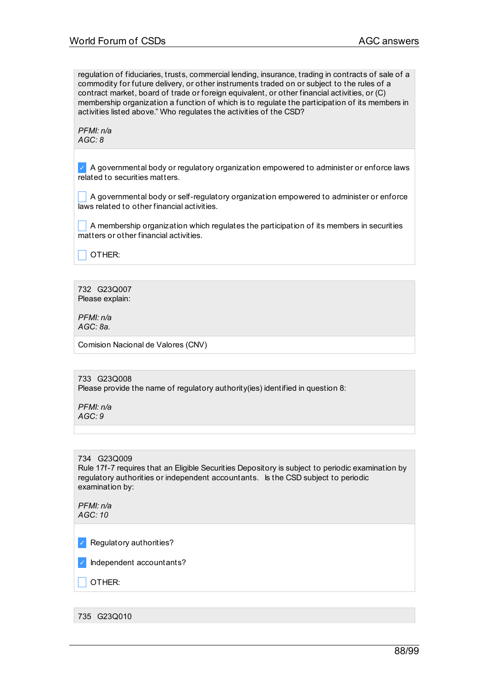regulation of fiduciaries, trusts, commercial lending, insurance, trading in contracts of sale of a commodity for future delivery, or other instruments traded on or subject to the rules of a contract market, board of trade or foreign equivalent, or other financial activities, or (C) membership organization a function of which is to regulate the participation of its members in activities listed above." Who regulates the activities of the CSD?

*PFMI: n/a AGC: 8*

 $\vee$  A governmental body or regulatory organization empowered to administer or enforce laws related to securities matters.

 $\Box$  A governmental body or self-regulatory organization empowered to administer or enforce laws related to other financial activities.

 $\Box$  A membership organization which regulates the participation of its members in securities matters or other financial activities.

 $\Box$  Other:

732 G23Q007 Please explain:

*PFMI: n/a AGC: 8a.*

Comision Nacional de Valores (CNV)

733 G23Q008 Please provide the name of regulatory authority(ies) identified in question 8:

*PFMI: n/a AGC: 9*

734 G23Q009

Rule 17f-7 requires that an Eligible Securities Depository is subject to periodic examination by regulatory authorities or independent accountants. Is the CSD subject to periodic examination by:

*PFMI: n/a AGC: 10*

✓ Regulatory authorities?

✓ Independent accountants?

\_ OTHER:

735 G23Q010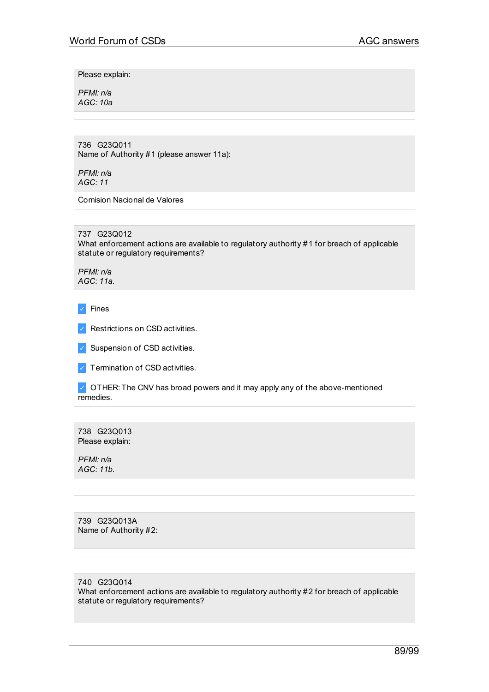Please explain:

*PFMI: n/a AGC: 10a*

736 G23Q011 Name of Authority #1 (please answer 11a):

*PFMI: n/a AGC: 11*

Comision Nacional de Valores

737 G23Q012

What enforcement actions are available to regulatory authority #1 for breach of applicable statute or regulatory requirements?

*PFMI: n/a AGC: 11a.*

✓ Fines

✓ Restrictions on CSD activities.

✓ Suspension of CSD activities.

 $\triangledown$  Termination of CSD activities.

✓ OTHER: The CNV has broad powers and it may apply any of the above-mentioned remedies.

738 G23Q013 Please explain:

*PFMI: n/a AGC: 11b.*

739 G23Q013A Name of Authority #2:

740 G23Q014

What enforcement actions are available to regulatory authority #2 for breach of applicable statute or regulatory requirements?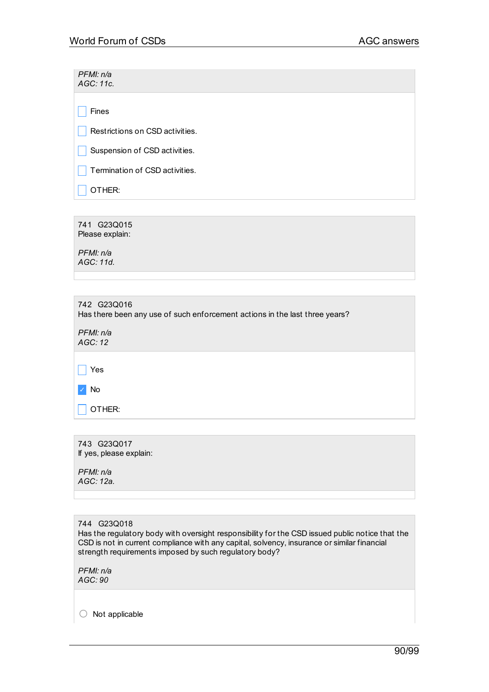| PFMI: n/a<br>AGC: 11c.          |  |  |
|---------------------------------|--|--|
| Fines                           |  |  |
| Restrictions on CSD activities. |  |  |
| Suspension of CSD activities.   |  |  |
| Termination of CSD activities.  |  |  |
| OTHER:                          |  |  |

741 G23Q015 Please explain:

*PFMI: n/a AGC: 11d.*

| 742 G23Q016<br>Has there been any use of such enforcement actions in the last three years?<br>PFMI: n/a<br>AGC:12 |  |  |  |  |
|-------------------------------------------------------------------------------------------------------------------|--|--|--|--|
| Yes                                                                                                               |  |  |  |  |
| No                                                                                                                |  |  |  |  |
| OTHER:                                                                                                            |  |  |  |  |

743 G23Q017 If yes, please explain: *PFMI: n/a AGC: 12a.*

744 G23Q018 Has the regulatory body with oversight responsibility for the CSD issued public notice that the CSD is not in current compliance with any capital, solvency, insurance or similar financial strength requirements imposed by such regulatory body?

*PFMI: n/a AGC: 90*

○ Not applicable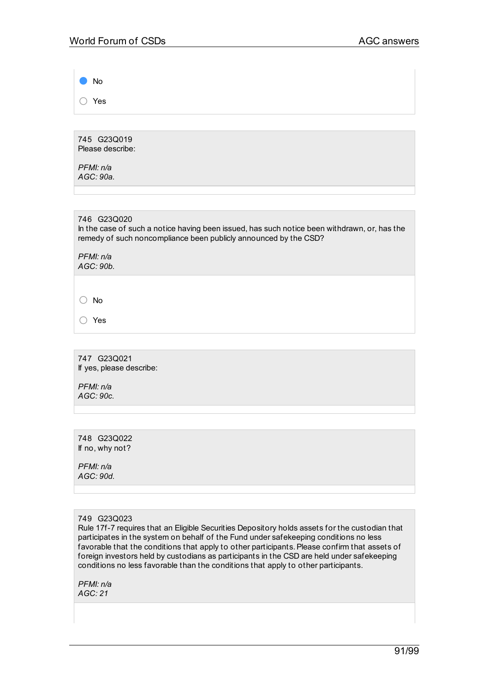● No ○ Yes

745 G23Q019 Please describe:

*PFMI: n/a AGC: 90a.*

746 G23Q020 In the case of such a notice having been issued, has such notice been withdrawn, or, has the remedy of such noncompliance been publicly announced by the CSD?

*PFMI: n/a AGC: 90b.*

○ No

○ Yes

747 G23Q021 If yes, please describe:

*PFMI: n/a AGC: 90c.*

748 G23Q022 If no, why not?

*PFMI: n/a AGC: 90d.*

Rule 17f-7 requires that an Eligible Securities Depository holds assets for the custodian that participates in the system on behalf of the Fund under safekeeping conditions no less favorable that the conditions that apply to other participants. Please confirm that assets of foreign investors held by custodians as participants in the CSD are held under safekeeping conditions no less favorable than the conditions that apply to other participants.

*PFMI: n/a AGC: 21*

<sup>749</sup> G23Q023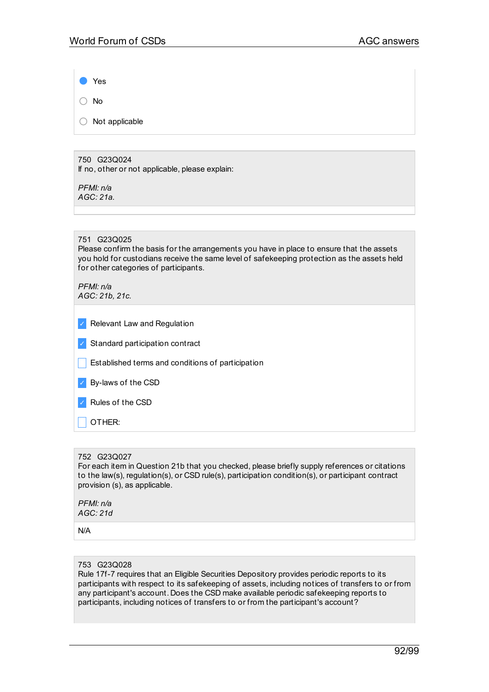Yes

○ No

○ Not applicable

750 G23Q024 If no, other or not applicable, please explain:

*PFMI: n/a AGC: 21a.*

## 751 G23Q025

Please confirm the basis for the arrangements you have in place to ensure that the assets you hold for custodians receive the same level of safekeeping protection as the assets held for other categories of participants.

*PFMI: n/a AGC: 21b, 21c.*

| $\checkmark$ | <b>Relevant Law and Regulation</b> |
|--------------|------------------------------------|
|              |                                    |

|  |  | Standard participation contract |  |
|--|--|---------------------------------|--|
|--|--|---------------------------------|--|

**Established terms and conditions of participation** 

| By-laws of the CSD |
|--------------------|
|                    |

✓ Rules of the CSD

\_ OTHER:

## 752 G23Q027

For each item in Question 21b that you checked, please briefly supply references or citations to the law(s), regulation(s), or CSD rule(s), participation condition(s), or participant contract provision (s), as applicable.

*PFMI: n/a AGC: 21d*

N/A

## 753 G23Q028

Rule 17f-7 requires that an Eligible Securities Depository provides periodic reports to its participants with respect to its safekeeping of assets, including notices of transfers to or from any participant's account. Does the CSD make available periodic safekeeping reports to participants, including notices of transfers to or from the participant's account?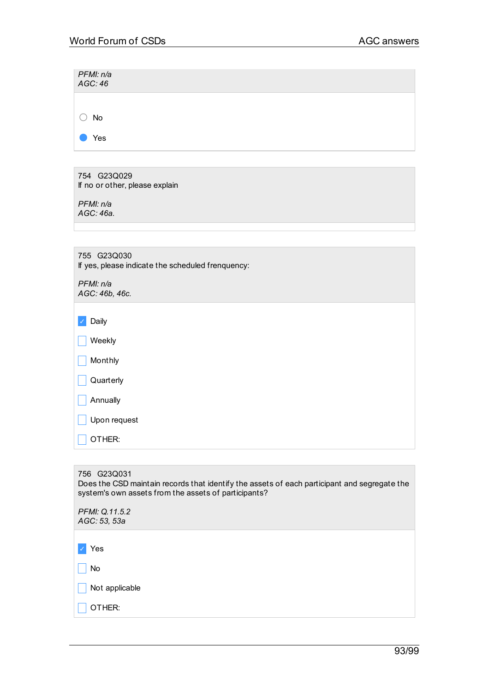| PFMI: n/a<br>AGC:46                                                                                         |
|-------------------------------------------------------------------------------------------------------------|
|                                                                                                             |
|                                                                                                             |
| No                                                                                                          |
| Yes                                                                                                         |
|                                                                                                             |
| 754 G23Q029                                                                                                 |
| If no or other, please explain                                                                              |
| PFMI: n/a                                                                                                   |
| AGC: 46a.                                                                                                   |
|                                                                                                             |
| 755 G23Q030                                                                                                 |
| If yes, please indicate the scheduled frenquency:                                                           |
| PFMI: n/a                                                                                                   |
| AGC: 46b, 46c.                                                                                              |
|                                                                                                             |
| Daily                                                                                                       |
| Weekly                                                                                                      |
|                                                                                                             |
| Monthly                                                                                                     |
| Quarterly                                                                                                   |
| Annually                                                                                                    |
| Upon request                                                                                                |
| OTHER:                                                                                                      |
|                                                                                                             |
|                                                                                                             |
| 756 G23Q031<br>Does the CSD maintain records that identify the assets of each participant and segregate the |

| system's own assets from the assets of participants? |  |  |
|------------------------------------------------------|--|--|
| PFMI: Q.11.5.2<br>AGC: 53, 53a                       |  |  |
|                                                      |  |  |
| Yes                                                  |  |  |
| No                                                   |  |  |
| Not applicable                                       |  |  |
| OTHER:                                               |  |  |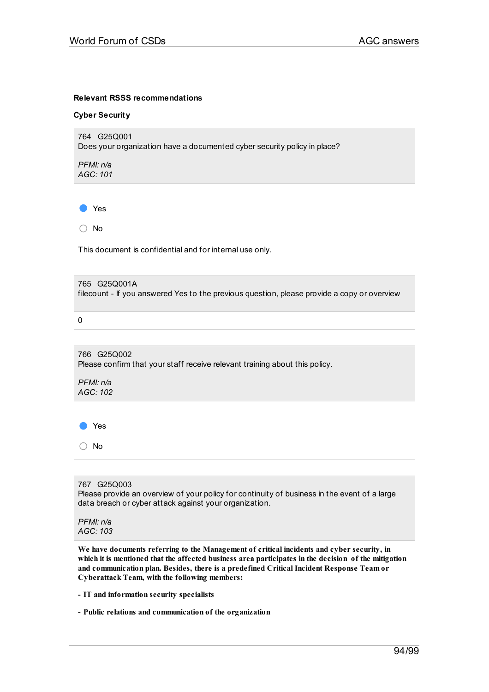#### **Relevant RSSS recommendations**

#### **Cyber Security**

764 G25Q001 Does your organization have a documented cyber security policy in place?

*PFMI: n/a AGC: 101*

● Yes

○ No

This document is confidential and for internal use only.

#### 765 G25Q001A

filecount - If you answered Yes to the previous question, please provide a copy or overview

0

766 G25Q002 Please confirm that your staff receive relevant training about this policy.

*PFMI: n/a AGC: 102*

● Yes

○ No

767 G25Q003 Please provide an overview of your policy for continuity of business in the event of a large data breach or cyber attack against your organization.

*PFMI: n/a AGC: 103*

**We have documents referring to the Management of critical incidents and cyber security, in which it is mentioned that the affected business area participates in the decision of the mitigation and communication plan. Besides, there is a predefined Critical Incident Response Team or Cyberattack Team, with the following members:**

**- IT and information security specialists**

**- Public relations and communication of the organization**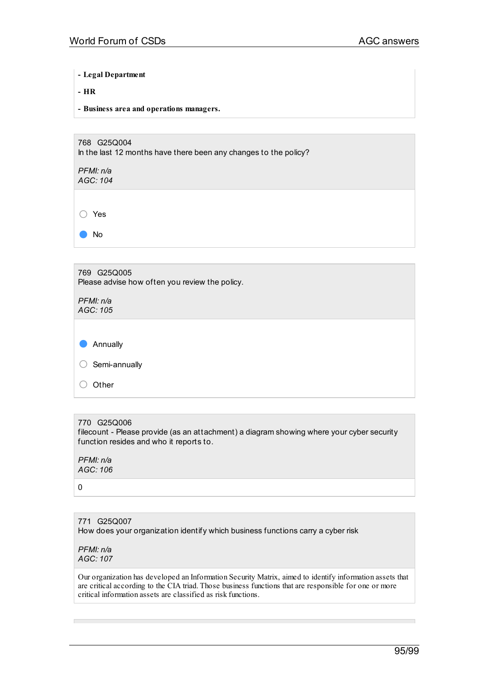**- Legal Department**

**- HR**

**- Business area and operations managers.**

768 G25Q004 In the last 12 months have there been any changes to the policy? *PFMI: n/a AGC: 104*

○ Yes

● No

| 769 G25Q005<br>Please advise how often you review the policy. |  |
|---------------------------------------------------------------|--|
| PFMI: n/a                                                     |  |

*AGC: 105*

| $\bullet$  | Annually      |
|------------|---------------|
| $\bigcirc$ | Semi-annually |
| $($ )      | Other         |
|            |               |

770 G25Q006 filecount - Please provide (as an attachment) a diagram showing where your cyber security function resides and who it reports to.

*PFMI: n/a AGC: 106*

0

771 G25Q007 How does your organization identify which business functions carry a cyber risk

*PFMI: n/a AGC: 107*

Our organization has developed an Information Security Matrix, aimed to identify information assets that are critical according to the CIA triad. Those business functions that are responsible for one or more critical information assets are classified as risk functions.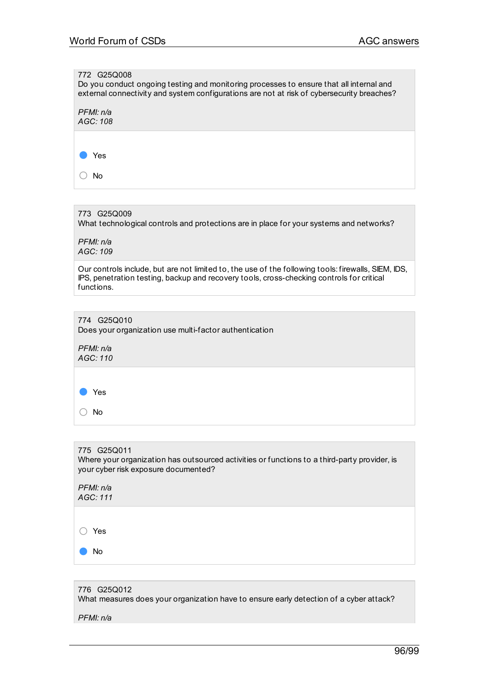# 772 G25Q008 Do you conduct ongoing testing and monitoring processes to ensure that all internal and external connectivity and system configurations are not at risk of cybersecurity breaches? *PFMI: n/a AGC: 108* ● Yes ○ No 773 G25Q009 What technological controls and protections are in place for your systems and networks? *PFMI: n/a AGC: 109* Our controls include, but are not limited to, the use of the following tools: firewalls, SIEM, IDS, IPS, penetration testing, backup and recovery tools, cross-checking controls for critical functions. 774 G25Q010 Does your organization use multi-factor authentication *PFMI: n/a AGC: 110* ● Yes ○ No 775 G25Q011 Where your organization has outsourced activities or functions to a third-party provider, is

| PFMI: n/a<br>AGC: 111 |  |  |  |
|-----------------------|--|--|--|
|                       |  |  |  |
| Yes                   |  |  |  |
| <b>No</b>             |  |  |  |
|                       |  |  |  |

your cyber risk exposure documented?

776 G25Q012 What measures does your organization have to ensure early detection of a cyber attack? *PFMI: n/a*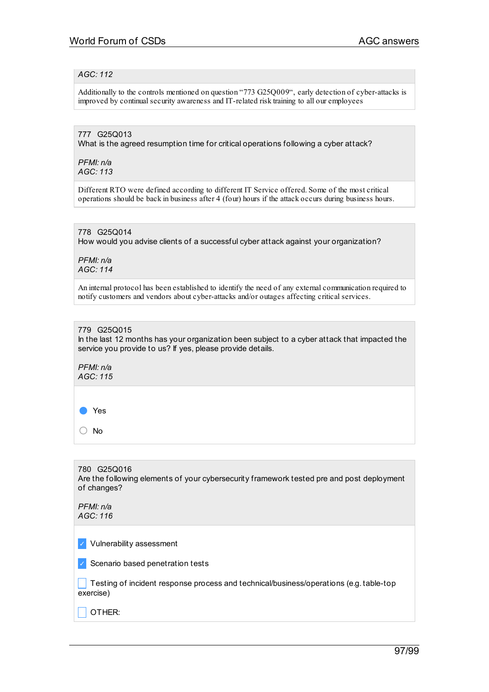## *AGC: 112*

Additionally to the controls mentioned on question "773 G25Q009", early detection of cyber-attacks is improved by continual security awareness and IT-related risk training to all our employees

## 777 G25Q013

What is the agreed resumption time for critical operations following a cyber attack?

*PFMI: n/a AGC: 113*

Different RTO were defined according to different IT Service offered. Some of the most critical operations should be back in business after 4 (four) hours if the attack occurs during business hours.

## 778 G25Q014

How would you advise clients of a successful cyber attack against your organization?

*PFMI: n/a AGC: 114*

An internal protocol has been established to identify the need of any external communication required to notify customers and vendors about cyber-attacks and/or outages affecting critical services.

#### 779 G25Q015 In the last 12 months has your organization been subject to a cyber attack that impacted the service you provide to us? If yes, please provide details.

*PFMI: n/a AGC: 115*

● Yes

○ No

780 G25Q016 Are the following elements of your cybersecurity framework tested pre and post deployment of changes?

| PFMI: n/a<br>AGC: 116 |  |
|-----------------------|--|
|                       |  |

✓ Vulnerability assessment

✓ Scenario based penetration tests

 $\Box$  Testing of incident response process and technical/business/operations (e.g. table-top exercise)

 $\overline{\phantom{a}}$  OTHER: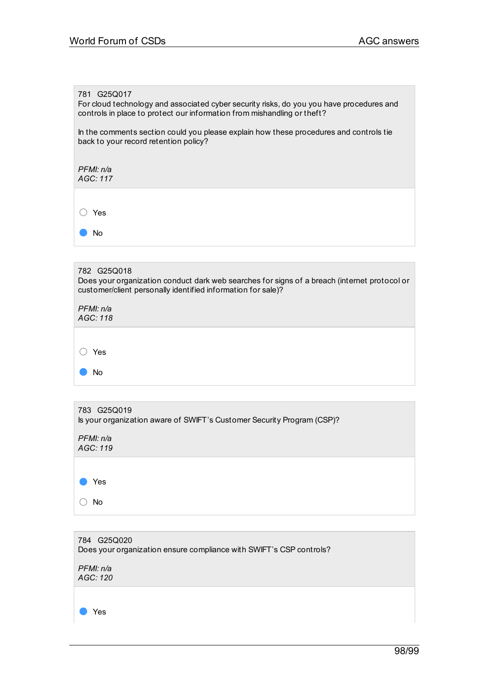#### 781 G25Q017

For cloud technology and associated cyber security risks, do you you have procedures and controls in place to protect our information from mishandling or theft?

In the comments section could you please explain how these procedures and controls tie back to your record retention policy?

*PFMI: n/a AGC: 117*

○ Yes

● No

## 782 G25Q018

Does your organization conduct dark web searches for signs of a breach (internet protocol or customer/client personally identified information for sale)?

*PFMI: n/a AGC: 118*

○ Yes

| No                                                                                    |
|---------------------------------------------------------------------------------------|
|                                                                                       |
| 783 G25Q019<br>Is your organization aware of SWIFT's Customer Security Program (CSP)? |
| PFMI: n/a<br>AGC: 119                                                                 |
| Yes                                                                                   |

○ No

| 784 G25Q020<br>Does your organization ensure compliance with SWIFT's CSP controls? |
|------------------------------------------------------------------------------------|
| PFMI: n/a<br>AGC: 120                                                              |
| Yes                                                                                |